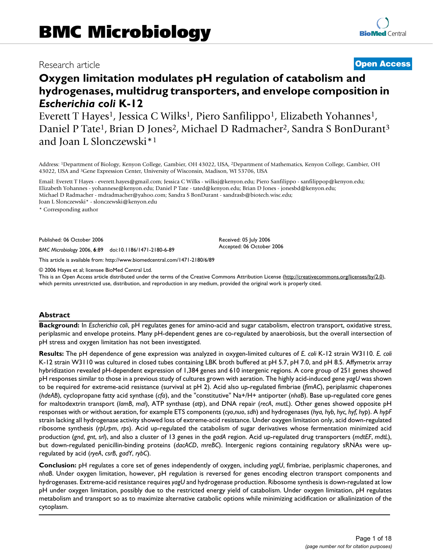## Research article **[Open Access](http://www.biomedcentral.com/info/about/charter/)**

# **Oxygen limitation modulates pH regulation of catabolism and hydrogenases, multidrug transporters, and envelope composition in**  *Escherichia coli* **K-12**

Everett T Hayes<sup>1</sup>, Jessica C Wilks<sup>1</sup>, Piero Sanfilippo<sup>1</sup>, Elizabeth Yohannes<sup>1</sup>, Daniel P Tate<sup>1</sup>, Brian D Jones<sup>2</sup>, Michael D Radmacher<sup>2</sup>, Sandra S BonDurant<sup>3</sup> and Joan L Slonczewski\*1

Address: 1Department of Biology, Kenyon College, Gambier, OH 43022, USA, 2Department of Mathematics, Kenyon College, Gambier, OH 43022, USA and 3Gene Expression Center, University of Wisconsin, Madison, WI 53706, USA

Email: Everett T Hayes - everett.hayes@gmail.com; Jessica C Wilks - wilksj@kenyon.edu; Piero Sanfilippo - sanfilippop@kenyon.edu; Elizabeth Yohannes - yohannese@kenyon.edu; Daniel P Tate - tated@kenyon.edu; Brian D Jones - jonesbd@kenyon.edu; Michael D Radmacher - mdradmacher@yahoo.com; Sandra S BonDurant - sandrasb@biotech.wisc.edu; Joan L Slonczewski\* - slonczewski@kenyon.edu

\* Corresponding author

Published: 06 October 2006

*BMC Microbiology* 2006, **6**:89 doi:10.1186/1471-2180-6-89

[This article is available from: http://www.biomedcentral.com/1471-2180/6/89](http://www.biomedcentral.com/1471-2180/6/89)

© 2006 Hayes et al; licensee BioMed Central Ltd.

This is an Open Access article distributed under the terms of the Creative Commons Attribution License [\(http://creativecommons.org/licenses/by/2.0\)](http://creativecommons.org/licenses/by/2.0), which permits unrestricted use, distribution, and reproduction in any medium, provided the original work is properly cited.

Received: 05 July 2006 Accepted: 06 October 2006

#### **Abstract**

**Background:** In *Escherichia coli*, pH regulates genes for amino-acid and sugar catabolism, electron transport, oxidative stress, periplasmic and envelope proteins. Many pH-dependent genes are co-regulated by anaerobiosis, but the overall intersection of pH stress and oxygen limitation has not been investigated.

**Results:** The pH dependence of gene expression was analyzed in oxygen-limited cultures of *E. coli* K-12 strain W3110. *E. coli* K-12 strain W3110 was cultured in closed tubes containing LBK broth buffered at pH 5.7, pH 7.0, and pH 8.5. Affymetrix array hybridization revealed pH-dependent expression of 1,384 genes and 610 intergenic regions. A core group of 251 genes showed pH responses similar to those in a previous study of cultures grown with aeration. The highly acid-induced gene *yagU* was shown to be required for extreme-acid resistance (survival at pH 2). Acid also up-regulated fimbriae (*fimAC*), periplasmic chaperones (*hdeAB*), cyclopropane fatty acid synthase (*cfa*), and the "constitutive" Na+/H+ antiporter (*nhaB*). Base up-regulated core genes for maltodextrin transport (*lamB*, *mal*), ATP synthase (*atp*), and DNA repair (*recA*, *mutL*). Other genes showed opposite pH responses with or without aeration, for example ETS components (*cyo*,*nuo*, *sdh*) and hydrogenases (*hya, hyb, hyc, hyf, hyp*). A *hypF* strain lacking all hydrogenase activity showed loss of extreme-acid resistance. Under oxygen limitation only, acid down-regulated ribosome synthesis (*rpl*,*rpm*, *rps*). Acid up-regulated the catabolism of sugar derivatives whose fermentation minimized acid production (*gnd*, *gnt*, *srl*), and also a cluster of 13 genes in the *gadA* region. Acid up-regulated drug transporters (*mdtEF*, *mdtL*), but down-regulated penicillin-binding proteins (*dacACD*, *mreBC*). Intergenic regions containing regulatory sRNAs were upregulated by acid (*ryeA*, *csrB*, *gadY*, *rybC*).

**Conclusion:** pH regulates a core set of genes independently of oxygen, including *yagU*, fimbriae, periplasmic chaperones, and *nhaB*. Under oxygen limitation, however, pH regulation is reversed for genes encoding electron transport components and hydrogenases. Extreme-acid resistance requires *yagU* and hydrogenase production. Ribosome synthesis is down-regulated at low pH under oxygen limitation, possibly due to the restricted energy yield of catabolism. Under oxygen limitation, pH regulates metabolism and transport so as to maximize alternative catabolic options while minimizing acidification or alkalinization of the cytoplasm.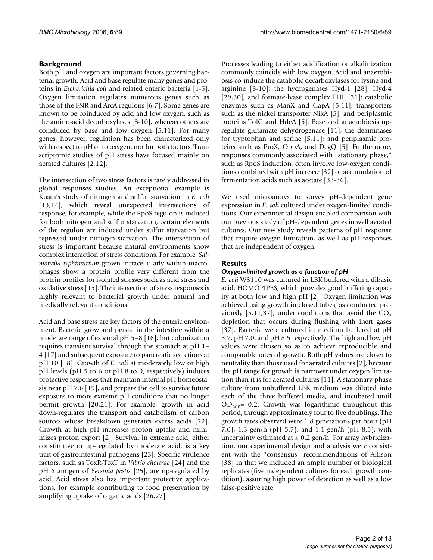## **Background**

Both pH and oxygen are important factors governing bacterial growth. Acid and base regulate many genes and proteins in *Escherichia coli* and related enteric bacteria [1-5]. Oxygen limitation regulates numerous genes such as those of the FNR and ArcA regulons [6,7]. Some genes are known to be coinduced by acid and low oxygen, such as the amino-acid decarboxylases [8-10], whereas others are coinduced by base and low oxygen [5,11]. For many genes, however, regulation has been characterized only with respect to pH or to oxygen, not for both factors. Transcriptomic studies of pH stress have focused mainly on aerated cultures [2,12].

The intersection of two stress factors is rarely addressed in global responses studies. An exceptional example is Kustu's study of nitrogen and sulfur starvation in *E. coli* [13,14], which reveal unexpected intersections of response; for example, while the RpoS regulon is induced for both nitrogen and sulfur starvation, certain elements of the regulon are induced under sulfur starvation but repressed under nitrogen starvation. The intersection of stress is important because natural environments show complex interaction of stress conditions. For example, *Salmonella typhimurium* grown intracellularly within macrophages show a protein profile very different from the protein profiles for isolated stresses such as acid stress and oxidative stress [15]. The intersection of stress responses is highly relevant to bacterial growth under natural and medically relevant conditions.

Acid and base stress are key factors of the enteric environment. Bacteria grow and persist in the intestine within a moderate range of external pH 5–8 [16], but colonization requires transient survival through the stomach at pH 1– 4 [17] and subsequent exposure to pancreatic secretions at pH 10 [18]. Growth of *E. coli* at moderately low or high pH levels (pH 5 to 6 or pH 8 to 9, respectively) induces protective responses that maintain internal pH homeostasis near pH 7.6 [19], and prepare the cell to survive future exposure to more extreme pH conditions that no longer permit growth [20,21]. For example, growth in acid down-regulates the transport and catabolism of carbon sources whose breakdown generates excess acids [22]. Growth at high pH increases proton uptake and minimizes proton export [2], Survival in extreme acid, either constitutive or up-regulated by moderate acid, is a key trait of gastrointestinal pathogens [23]. Specific virulence factors, such as ToxR-ToxT in *Vibrio cholerae* [24] and the pH 6 antigen of *Yersinia pestis* [25], are up-regulated by acid. Acid stress also has important protective applications, for example contributing to food preservation by amplifying uptake of organic acids [26,27].

Processes leading to either acidification or alkalinization commonly coincide with low oxygen. Acid and anaerobiosis co-induce the catabolic decarboxylases for lysine and arginine [8-10]; the hydrogenases Hyd-1 [28], Hyd-4 [29,30], and formate-lyase complex FHL [31]; catabolic enzymes such as ManX and GapA [5,11]; transporters such as the nickel transporter NikA [5]; and periplasmic proteins TolC and HdeA [5]. Base and anaerobiosis upregulate glutamate dehydrogenase [11]; the deaminases for tryptophan and serine [5,11]; and periplasmic proteins such as ProX, OppA, and DegQ [5]. Furthermore, responses commonly associated with "stationary phase," such as RpoS induction, often involve low-oxygen conditions combined with pH increase [32] or accumulation of fermentation acids such as acetate [33-36].

We used microarrays to survey pH-dependent gene expression in *E. coli* cultured under oxygen-limited conditions. Our experimental design enabled comparison with our previous study of pH-dependent genes in well aerated cultures. Our new study reveals patterns of pH response that require oxygen limitation, as well as pH responses that are independent of oxygen.

## **Results**

## *Oxygen-limited growth as a function of pH*

*E. coli* W3110 was cultured in LBK buffered with a dibasic acid, HOMOPIPES, which provides good buffering capacity at both low and high pH [2]. Oxygen limitation was achieved using growth in closed tubes, as conducted previously  $[5,11,37]$ , under conditions that avoid the CO<sub>2</sub> depletion that occurs during flushing with inert gases [37]. Bacteria were cultured in medium buffered at pH 5.7, pH 7.0, and pH 8.5 respectively. The high and low pH values were chosen so as to achieve reproducible and comparable rates of growth. Both pH values are closer to neutrality than those used for aerated cultures [2], because the pH range for growth is narrower under oxygen limitation than it is for aerated cultures [11]. A stationary-phase culture from unbuffered LBK medium was diluted into each of the three buffered media, and incubated until  $OD_{600}$ = 0.2. Growth was logarithmic throughout this period, through approximately four to five doublings. The growth rates observed were 1.8 generations per hour (pH 7.0), 1.3 gen/h (pH 5.7), and 1.1 gen/h (pH 8.5), with uncertainty estimated at  $\pm$  0.2 gen/h. For array hybridization, our experimental design and analysis were consistent with the "consensus" recommendations of Allison [38] in that we included an ample number of biological replicates (five independent cultures for each growth condition), assuring high power of detection as well as a low false-positive rate.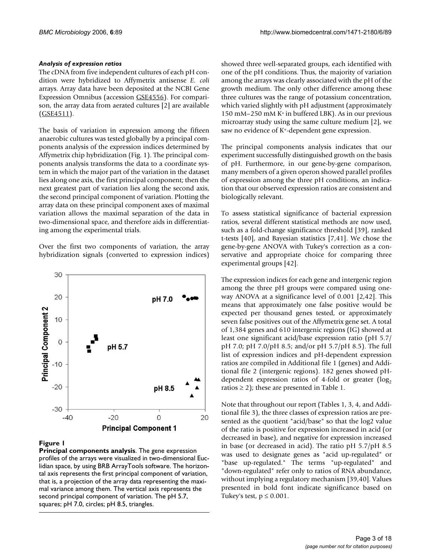## *Analysis of expression ratios*

The cDNA from five independent cultures of each pH condition were hybridized to Affymetrix antisense *E. coli* arrays. Array data have been deposited at the NCBI Gene Expression Omnibus (accession [GSE4556\)](http://www.ncbi.nih.gov/entrez/query.fcgi?db=Nucleotide&cmd=search&term=GSE4556). For comparison, the array data from aerated cultures [2] are available  $(GSE4511)$  $(GSE4511)$ .

The basis of variation in expression among the fifteen anaerobic cultures was tested globally by a principal components analysis of the expression indices determined by Affymetrix chip hybridization (Fig. 1). The principal components analysis transforms the data to a coordinate system in which the major part of the variation in the dataset lies along one axis, the first principal component; then the next greatest part of variation lies along the second axis, the second principal component of variation. Plotting the array data on these principal component axes of maximal variation allows the maximal separation of the data in two-dimensional space, and therefore aids in differentiating among the experimental trials.

Over the first two components of variation, the array hybridization signals (converted to expression indices)



## **Figure 1**

**Principal components analysis**. The gene expression profiles of the arrays were visualized in two-dimensional Euclidian space, by using BRB ArrayTools software. The horizontal axis represents the first principal component of variation, that is, a projection of the array data representing the maximal variance among them. The vertical axis represents the second principal component of variation. The pH 5.7, squares; pH 7.0, circles; pH 8.5, triangles.

showed three well-separated groups, each identified with one of the pH conditions. Thus, the majority of variation among the arrays was clearly associated with the pH of the growth medium. The only other difference among these three cultures was the range of potassium concentration, which varied slightly with pH adjustment (approximately 150 mM–250 mM K+ in buffered LBK). As in our previous microarray study using the same culture medium [2], we saw no evidence of K+-dependent gene expression.

The principal components analysis indicates that our experiment successfully distinguished growth on the basis of pH. Furthermore, in our gene-by-gene comparison, many members of a given operon showed parallel profiles of expression among the three pH conditions, an indication that our observed expression ratios are consistent and biologically relevant.

To assess statistical significance of bacterial expression ratios, several different statistical methods are now used, such as a fold-change significance threshold [39], ranked t-tests [40], and Bayesian statistics [7,41]. We chose the gene-by-gene ANOVA with Tukey's correction as a conservative and appropriate choice for comparing three experimental groups [42].

The expression indices for each gene and intergenic region among the three pH groups were compared using oneway ANOVA at a significance level of 0.001 [2,42]. This means that approximately one false positive would be expected per thousand genes tested, or approximately seven false positives out of the Affymetrix gene set. A total of 1,384 genes and 610 intergenic regions (IG) showed at least one significant acid/base expression ratio (pH 5.7/ pH 7.0; pH 7.0/pH 8.5; and/or pH 5.7/pH 8.5). The full list of expression indices and pH-dependent expression ratios are compiled in Additional file 1 (genes) and Additional file 2 (intergenic regions). 182 genes showed pHdependent expression ratios of 4-fold or greater ( $log<sub>2</sub>$ ) ratios  $\geq$  2); these are presented in Table 1.

Note that throughout our report (Tables 1, 3, 4, and Additional file 3), the three classes of expression ratios are presented as the quotient "acid/base" so that the log2 value of the ratio is positive for expression increased in acid (or decreased in base), and negative for expression increased in base (or decreased in acid). The ratio pH 5.7/pH 8.5 was used to designate genes as "acid up-regulated" or "base up-regulated." The terms "up-regulated" and "down-regulated" refer only to ratios of RNA abundance, without implying a regulatory mechanism [39,40]. Values presented in bold font indicate significance based on Tukey's test,  $p \leq 0.001$ .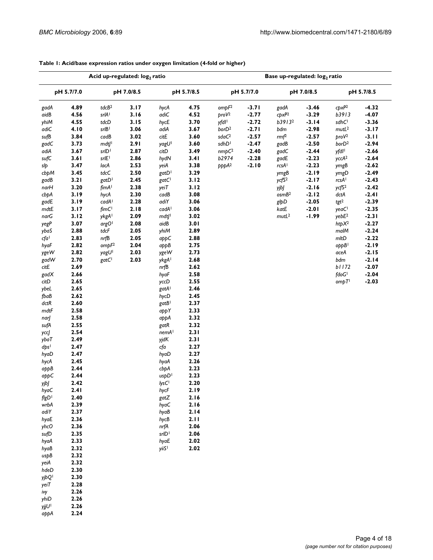|                           |              | Acid up-regulated: log <sub>2</sub> ratio |              |                           |              |                            |                    | Base up-regulated: log <sub>2</sub> ratio |                    |                                        |                    |
|---------------------------|--------------|-------------------------------------------|--------------|---------------------------|--------------|----------------------------|--------------------|-------------------------------------------|--------------------|----------------------------------------|--------------------|
|                           | pH 5.7/7.0   |                                           | pH 7.0/8.5   |                           | pH 5.7/8.5   |                            | pH 5.7/7.0         |                                           | pH 7.0/8.5         |                                        | pH 5.7/8.5         |
| gadA                      | 4.89         | tdcB <sup>2</sup>                         | 3.17         | hycA                      | 4.75         | ompF <sup>2</sup>          | $-3.71$            | gadA                                      | $-3.46$            | cpxP <sup>2</sup>                      | $-4.32$            |
| aidB                      | 4.56         | srIA                                      | 3.16         | adiC                      | 4.52         | proV <sup>2</sup>          | $-2.77$            | cpxP <sup>2</sup>                         | $-3.29$            | b3913                                  | $-4.07$            |
| yhiM                      | 4.55         | tdcD                                      | 3.15         | hycE                      | 3.70         | yfdl <sup>1</sup>          | $-2.72$            | b3913 <sup>2</sup>                        | $-3.14$            | sdhCl                                  | $-3.36$            |
| adiC                      | 4.10         | $srlB1$                                   | 3.06         | adiA                      | 3.67         | borD <sup>2</sup>          | $-2.71$            | bdm                                       | $-2.98$            | mutL <sup>2</sup>                      | $-3.17$            |
| sufB                      | 3.84         | cadB                                      | 3.02         | citE                      | 3.60         | sdaC <sup>2</sup>          | $-2.57$            | rm <sup>2</sup>                           | $-2.57$            | proV <sup>2</sup>                      | $-3.11$            |
| gadC                      | 3.73         | mdtJ <sup>I</sup>                         | 2.91         | yagU <sup>1</sup>         | 3.60         | sdhD <sup>1</sup>          | $-2.47$            | gadB                                      | $-2.50$            | borD <sup>2</sup>                      | $-2.94$            |
| adiA                      | 3.67<br>3.61 | $srlD1$<br>srIE <sup>1</sup>              | 2.87<br>2.86 | citD                      | 3.49<br>3.41 | nmpC <sup>2</sup><br>b2974 | $-2.40$<br>$-2.28$ | gadC                                      | $-2.44$<br>$-2.23$ | yfdl                                   | $-2.66$<br>$-2.64$ |
| sufC<br>slp               | 3.47         | lacA                                      | 2.53         | hydN<br>yeiA              | 3.38         | pppA <sup>2</sup>          | $-2.10$            | gadE<br>rcsA <sup>1</sup>                 | $-2.23$            | yccA <sup>2</sup><br>ymgB              | $-2.62$            |
| cbpM                      | 3.45         | tdcC                                      | 2.50         | gatD <sup>1</sup>         | 3.29         |                            |                    | ymgB                                      | $-2.19$            | ymgD                                   | $-2.49$            |
| gadB                      | 3.21         | gatD <sup>1</sup>                         | 2.45         | gatC                      | 3.12         |                            |                    | ycfS <sup>2</sup>                         | $-2.17$            | rcsAl                                  | $-2.43$            |
| narH                      | 3.20         | $f$ im $A1$                               | 2.38         | yeiT                      | 3.12         |                            |                    | yjbJ                                      | $-2.16$            | ycf <sup>S2</sup>                      | $-2.42$            |
| cbpA                      | 3.19         | hycA                                      | 2.30         | cadB                      | 3.08         |                            |                    | osmB <sup>2</sup>                         | $-2.12$            | dctA                                   | $-2.41$            |
| gadE                      | 3.19         | cadA <sup>1</sup>                         | 2.28         | adiY                      | 3.06         |                            |                    | glpD                                      | $-2.05$            | $tgt^2$                                | $-2.39$            |
| mdtE                      | 3.17         | fimC <sup>1</sup>                         | 2.18         | cadA <sup>1</sup>         | 3.06         |                            |                    | katE                                      | $-2.01$            | yeaCl                                  | $-2.35$            |
| narG                      | 3.12<br>3.07 | ykgA <sup>1</sup>                         | 2.09<br>2.08 | mdtl<br>aidB              | 3.02<br>3.01 |                            |                    | mutL <sup>2</sup>                         | $-1.99$            | yebE <sup>2</sup><br>htpX <sup>2</sup> | $-2.31$<br>$-2.27$ |
| yegP<br>ybaS              | 2.88         | argO <sup>1</sup><br>tdcF                 | 2.05         | yhiM                      | 2.89         |                            |                    |                                           |                    | malM                                   | $-2.24$            |
| cfa <sup>1</sup>          | 2.83         | nrB                                       | 2.05         | аррС                      | 2.88         |                            |                    |                                           |                    | mltD                                   | $-2.22$            |
| hyaF                      | 2.82         | ompF <sup>2</sup>                         | 2.04         | appB                      | 2.75         |                            |                    |                                           |                    | oppB                                   | $-2.19$            |
| ygeW                      | 2.82         | yagU <sup>1</sup>                         | 2.03         | ygeW                      | 2.73         |                            |                    |                                           |                    | aceA                                   | $-2.15$            |
| gadW                      | 2.70         | gatC                                      | 2.03         | ykgAl                     | 2.68         |                            |                    |                                           |                    | bdm                                    | $-2.14$            |
| citE                      | 2.69         |                                           |              | nrB                       | 2.62         |                            |                    |                                           |                    | b1172                                  | $-2.07$            |
| gadX                      | 2.66         |                                           |              | hyaF                      | 2.58         |                            |                    |                                           |                    | fdoG <sup>I</sup>                      | $-2.04$            |
| citD                      | 2.65         |                                           |              | yccD                      | 2.55         |                            |                    |                                           |                    | ompTl                                  | $-2.03$            |
| ybeL<br>fbaB              | 2.65<br>2.62 |                                           |              | gatA <sup>1</sup><br>hycD | 2.46<br>2.45 |                            |                    |                                           |                    |                                        |                    |
| dctR                      | 2.60         |                                           |              | $g$ at $B1$               | 2.37         |                            |                    |                                           |                    |                                        |                    |
| mdtF                      | 2.58         |                                           |              | аррҮ                      | 2.33         |                            |                    |                                           |                    |                                        |                    |
| nar)                      | 2.58         |                                           |              | аррА                      | 2.32         |                            |                    |                                           |                    |                                        |                    |
| sufA                      | 2.55         |                                           |              | $g$ at ${\mathsf R}$      | 2.32         |                            |                    |                                           |                    |                                        |                    |
| yccj                      | 2.54         |                                           |              | nemA                      | 2.31         |                            |                    |                                           |                    |                                        |                    |
| ybaT                      | 2.49         |                                           |              | yjdK                      | 2.31         |                            |                    |                                           |                    |                                        |                    |
| dps <sup>1</sup><br>hyaD  | 2.47<br>2.47 |                                           |              | cfa<br>hyaD               | 2.27<br>2.27 |                            |                    |                                           |                    |                                        |                    |
| hycA                      | 2.45         |                                           |              | hyaA                      | 2.26         |                            |                    |                                           |                    |                                        |                    |
| appB                      | 2.44         |                                           |              | cbpA                      | 2.23         |                            |                    |                                           |                    |                                        |                    |
| аррС                      | 2.44         |                                           |              | uspD <sup>1</sup>         | 2.23         |                            |                    |                                           |                    |                                        |                    |
| yjbJ                      | 2.42         |                                           |              | lysCl                     | 2.20         |                            |                    |                                           |                    |                                        |                    |
| hyaC                      | 2.4 I        |                                           |              | hycF                      | 2. I 9       |                            |                    |                                           |                    |                                        |                    |
| $f \mid gD$ <sup>1</sup>  | 2.40         |                                           |              | gatZ                      | 2.16         |                            |                    |                                           |                    |                                        |                    |
| wrbA                      | 2.39         |                                           |              | hyaC                      | 2.16         |                            |                    |                                           |                    |                                        |                    |
| adiY<br>hyaE              | 2.37<br>2.36 |                                           |              | hyaB<br>hycB              | 2.14<br>2.11 |                            |                    |                                           |                    |                                        |                    |
| yhcO                      | 2.36         |                                           |              | nrfA                      | 2.06         |                            |                    |                                           |                    |                                        |                    |
| sufD                      | 2.35         |                                           |              | srID                      | 2.06         |                            |                    |                                           |                    |                                        |                    |
| hyaA                      | 2.33         |                                           |              | hyaE                      | 2.02         |                            |                    |                                           |                    |                                        |                    |
| hyaB                      | 2.32         |                                           |              | yiiSI                     | 2.02         |                            |                    |                                           |                    |                                        |                    |
| uspB                      | 2.32         |                                           |              |                           |              |                            |                    |                                           |                    |                                        |                    |
| yeiA                      | 2.32         |                                           |              |                           |              |                            |                    |                                           |                    |                                        |                    |
| hdeD                      | 2.30<br>2.30 |                                           |              |                           |              |                            |                    |                                           |                    |                                        |                    |
| yjbQ <sup>1</sup><br>yeiT | 2.28         |                                           |              |                           |              |                            |                    |                                           |                    |                                        |                    |
| ivy                       | 2.26         |                                           |              |                           |              |                            |                    |                                           |                    |                                        |                    |
| yhiD                      | 2.26         |                                           |              |                           |              |                            |                    |                                           |                    |                                        |                    |
| <b>yjj</b> U <sup>1</sup> | 2.26         |                                           |              |                           |              |                            |                    |                                           |                    |                                        |                    |
| аррА                      | 2.24         |                                           |              |                           |              |                            |                    |                                           |                    |                                        |                    |

#### **Table 1: Acid/base expression ratios under oxygen limitation (4-fold or higher)**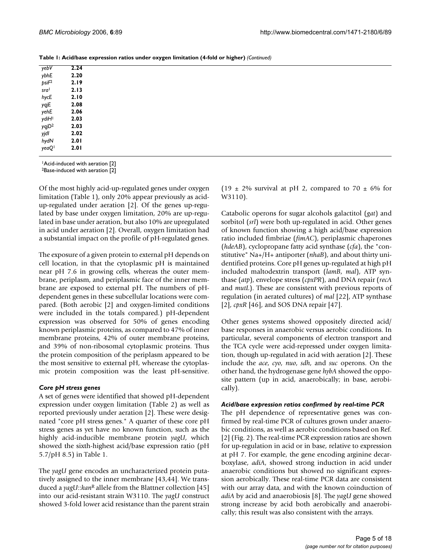| yebV              | 2.24 |
|-------------------|------|
| ybhE              | 2.20 |
| psiF <sup>2</sup> | 2.19 |
| sral              | 2.13 |

**Table 1: Acid/base expression ratios under oxygen limitation (4-fold or higher)** *(Continued)*

*yeaQ*<sup>1</sup> **2.01**

*hycE* **2.10** *yqjE* **2.08** *yehE* **2.06** *ydiH*<sup>1</sup> **2.03** *yqjD*<sup>2</sup> **2.03** *yjdI* **2.02**

 $h$ *ydN* 

<sup>1</sup>Acid-induced with aeration [2] 2Base-induced with aeration [2]

Of the most highly acid-up-regulated genes under oxygen limitation (Table 1), only 20% appear previously as acidup-regulated under aeration [2]. Of the genes up-regulated by base under oxygen limitation, 20% are up-regulated in base under aeration, but also 10% are upregulated in acid under aeration [2]. Overall, oxygen limitation had a substantial impact on the profile of pH-regulated genes.

The exposure of a given protein to external pH depends on cell location, in that the cytoplasmic pH is maintained near pH 7.6 in growing cells, whereas the outer membrane, periplasm, and periplasmic face of the inner membrane are exposed to external pH. The numbers of pHdependent genes in these subcellular locations were compared. (Both aerobic [2] and oxygen-limited conditions were included in the totals compared.) pH-dependent expression was observed for 50% of genes encoding known periplasmic proteins, as compared to 47% of inner membrane proteins, 42% of outer membrane proteins, and 39% of non-ribosomal cytoplasmic proteins. Thus the protein composition of the periplasm appeared to be the most sensitive to external pH, wherease the cytoplasmic protein composition was the least pH-sensitive.

#### *Core pH stress genes*

A set of genes were identified that showed pH-dependent expression under oxygen limitation (Table 2) as well as reported previously under aeration [2]. These were designated "core pH stress genes." A quarter of these core pH stress genes as yet have no known function, such as the highly acid-inducible membrane protein *yagU*, which showed the sixth-highest acid/base expression ratio (pH 5.7/pH 8.5) in Table 1.

The *yagU* gene encodes an uncharacterized protein putatively assigned to the inner membrane [43,44]. We transduced a *yagU*::*kan*R allele from the Blattner collection [45] into our acid-resistant strain W3110. The *yagU* construct showed 3-fold lower acid resistance than the parent strain (19  $\pm$  2% survival at pH 2, compared to 70  $\pm$  6% for W3110).

Catabolic operons for sugar alcohols galactitol (*gat*) and sorbitol (*srl*) were both up-regulated in acid. Other genes of known function showing a high acid/base expression ratio included fimbriae (*fimAC*), periplasmic chaperones (*hdeAB*), cyclopropane fatty acid synthase (*cfa*), the "constitutive" Na+/H+ antiporter (*nhaB*), and about thirty unidentified proteins. Core pH genes up-regulated at high pH included maltodextrin transport (*lamB*, *mal*), ATP synthase (*atp*), envelope stress (*cpxPR*), and DNA repair (*recA* and *mutL*). These are consistent with previous reports of regulation (in aerated cultures) of *mal* [22], ATP synthase [2], *cpxR* [46], and SOS DNA repair [47].

Other genes systems showed oppositely directed acid/ base responses in anaerobic versus aerobic conditions. In particular, several components of electron transport and the TCA cycle were acid-repressed under oxygen limitation, though up-regulated in acid with aeration [2]. These include the *ace*, *cyo*, *nuo*, *sdh*, and *suc* operons. On the other hand, the hydrogenase gene *hybA* showed the opposite pattern (up in acid, anaerobically; in base, aerobically).

#### *Acid/base expression ratios confirmed by real-time PCR*

The pH dependence of representative genes was confirmed by real-time PCR of cultures grown under anaerobic conditions, as well as aerobic conditions based on Ref. [2] (Fig. 2). The real-time PCR expression ratios are shown for up-regulation in acid or in base, relative to expression at pH 7. For example, the gene encoding arginine decarboxylase, *adiA*, showed strong induction in acid under anaerobic conditions but showed no significant expression aerobically. These real-time PCR data are consistent with our array data, and with the known coinduction of *adiA* by acid and anaerobiosis [8]. The *yagU* gene showed strong increase by acid both aerobically and anaerobically; this result was also consistent with the arrays.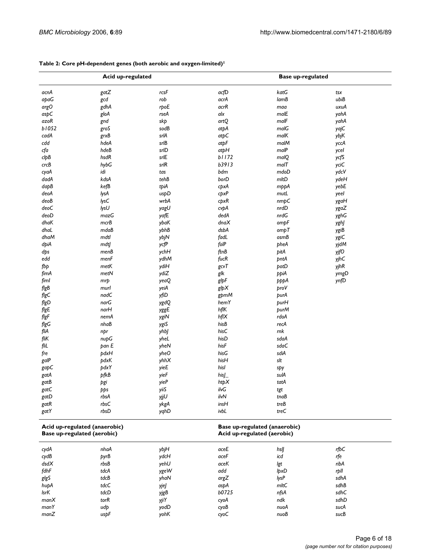| Acid up-regulated                  |            |         | <b>Base up-regulated</b>      |                 |      |  |
|------------------------------------|------------|---------|-------------------------------|-----------------|------|--|
| acnA                               | gatZ       | rcsF    | acfD                          | $k$ at $G$      | tsx  |  |
| apaG                               | gcd        | rob     | acrA                          | lamB            | ubiB |  |
| argO                               | gdhA       | rpoE    | acrR                          | maa             | uxuA |  |
| aspC                               | gloA       | rseA    | alx                           | malE            | yahA |  |
| azoR                               | gnd        | skp     | artQ                          | malF            | yahA |  |
| b1052                              | groS       | sodB    | atpA                          | malG            | yajC |  |
| cadA                               | grxB       | srlA    | atpC                          | $m$ al $K$      | ybjK |  |
| cdd                                | hdeA       | srlB    | atpF                          | malM            | yccA |  |
| cfa                                | hdeB       | srID    | atpH                          | malP            | ycel |  |
| clpB                               | hsdR       | srlE    | b1172                         | malQ            | ycfS |  |
| crcB                               | hybG       | $sr$ IR | b3913                         | $m$ al $T$      | yciC |  |
| cyaA                               | idi        | tas     | bdm                           | mdoD            | ydcV |  |
| dadA                               | kdsA       | tehB    | borD                          | mltD            | ydeH |  |
| dapB                               | kefB       | tpiA    | срхА                          | тррА            | yebE |  |
| deoA                               | lysA       | uspD    | cpxP                          | $\mathit{mutL}$ | yeel |  |
| deoB                               | lysC       | wrbA    | cpxR                          | nmpC            | ygaH |  |
| deoC                               | lysU       | yagU    | cvpA                          | nrdD            | ygaZ |  |
| deoD                               | mazG       | yafE    | dedA                          | nrdG            | yghG |  |
| dhaK                               | mcrb       | ybaK    | dnaX                          | ompF            | yghJ |  |
| dhaL                               | mdaB       | ybhB    | dsbA                          | ompT            | ygiB |  |
| dhaM                               | mdtl       | ybjN    | fadL                          | osmB            | ygiC |  |
| dpiA                               | mdtJ       | ycfP    | folP                          | pheA            | yjdM |  |
| dps                                | menB       | ychH    | ftnB                          | pitA            | yjfO |  |
| edd                                | menF       | ydhM    | fucR                          | pntA            | yjhC |  |
| fbp                                | metK       | ydiH    | gcvT                          | potD            | yjhR |  |
| fimA                               | metN       | ydiZ    | glk                           | ppiA            | ymgD |  |
| fiml                               | mrp        | yeaQ    | glpF                          | pppA            | ynfD |  |
| flgB                               | murl       | yeiA    | glpX                          | proV            |      |  |
| flgC                               | nadC       | yfiD    | gpmM                          | purA            |      |  |
| flgD                               | $n$ ar $G$ | ygdQ    | hemY                          | purH            |      |  |
| flgE                               | $n$ ar $H$ | yggE    | hflK                          | purM            |      |  |
| flgF                               | nemA       | ygiN    | $h$ fl $X$                    | rdoA            |      |  |
| flgG                               | nhaB       | ygiS    | hisB                          | recA            |      |  |
| fliA                               | npr        | yhbJ    | hisC                          | rnk             |      |  |
| fliK                               | nupG       | yheL    | hisD                          | sdaA            |      |  |
| fliL                               | pan E      | yheN    | hisF                          | sdaC            |      |  |
| fre                                | pdxH       | yheO    | hisG                          | sdiA            |      |  |
| galP                               | pdxK       | yhhX    | hisH                          | slt             |      |  |
| gapC                               | pdxY       | yieE    | hisl                          | spy             |      |  |
| gatA                               | pfkB       | yieF    | his                           | sulA            |      |  |
| gatB                               | pgi        | yieP    | htpX                          | tatA            |      |  |
| gatC                               | pps        | yiiS    | ilvG                          | tgt             |      |  |
| gatD                               | rbsA       | yjjU    | ilvN                          | tnaB            |      |  |
| gatR                               | rbsC       | ykgA    | insH                          | treB            |      |  |
| gatY                               | rbsD       | yqhD    | ivbL                          | treC            |      |  |
| Acid up-regulated (anaerobic)      |            |         | Base up-regulated (anaerobic) |                 |      |  |
| <b>Base up-regulated (aerobic)</b> |            |         | Acid up-regulated (aerobic)   |                 |      |  |
| cydA                               | nhaA       | ybjH    | aceE                          | hslj            | rfbC |  |
| cydB                               | pyrB       | ydcH    | aceF                          | icd             | rfe  |  |
| dsdX                               | rbsB       | yehU    | aceK                          | lgt             | ribA |  |
| fdhF                               | tdcA       | ygeW    | add                           | lpxD            | rpll |  |
| glgS                               | tdcB       | yhaN    | argZ                          | lysP            | sdhA |  |
| hupA                               | tdcC       | yjeJ    | aspA                          | mltC            | sdhB |  |
| lsrK                               | tdcD       | yjgB    | b0725                         | nfsA            | sdhC |  |
| manX                               | torR       | yjiY    | cyoA                          | ndk             | sdhD |  |
| manY                               | udp        | yodD    | cyoB                          | nuoA            | sucA |  |
| manZ                               | uspF       | yohK    | cyoC                          | nuoB            | sucB |  |

## **Table 2: Core pH-dependent genes (both aerobic and oxygen-limited)1**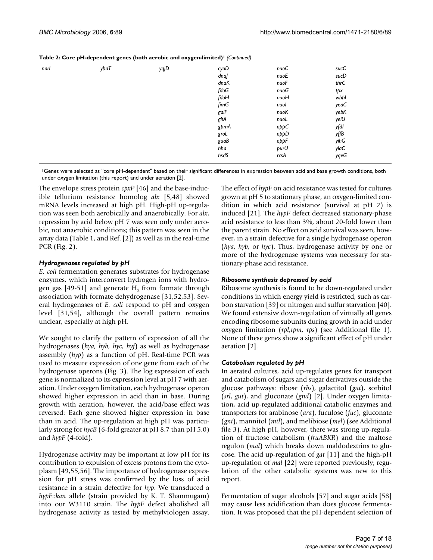| Table 2: Core pH-dependent genes (both aerobic and oxygen-limited) <sup>1</sup> (Continued) |  |  |  |
|---------------------------------------------------------------------------------------------|--|--|--|
|---------------------------------------------------------------------------------------------|--|--|--|

| narl | ybaT | yqjD | cyoD | nuoC | sucC |  |
|------|------|------|------|------|------|--|
|      |      |      | dnaj | nuoE | sucD |  |
|      |      |      | dnaK | nuoF | thrC |  |
|      |      |      | fdoG | nuoG | tpx  |  |
|      |      |      | fdoH | nuoH | wbbl |  |
|      |      |      | fimG | nuol | yeaC |  |
|      |      |      | galF | nuoK | yebK |  |
|      |      |      | gltA | nuoL | yeiU |  |
|      |      |      | gpmA | oppC | yfdl |  |
|      |      |      | groL | oppD | yffB |  |
|      |      |      | guaB | oppF | yihG |  |
|      |      |      | hha  | purU | ylaC |  |
|      |      |      | hsdS | rcsA | yqeG |  |
|      |      |      |      |      |      |  |

1Genes were selected as "core pH-dependent" based on their significant differences in expression between acid and base growth conditions, both under oxygen limitation (this report) and under aeration [2].

The envelope stress protein *cpxP* [46] and the base-inducible tellurium resistance homolog *alx* [5,48] showed mRNA levels increased at high pH. High-pH up-regulation was seen both aerobically and anaerobically. For *alx*, repression by acid below pH 7 was seen only under aerobic, not anaerobic conditions; this pattern was seen in the array data (Table 1, and Ref. [2]) as well as in the real-time PCR (Fig. 2).

#### *Hydrogenases regulated by pH*

*E. coli* fermentation generates substrates for hydrogenase enzymes, which interconvert hydrogen ions with hydrogen gas [49-51] and generate  $H_2$  from formate through association with formate dehydrogenase [31,52,53]. Several hydrogenases of *E. coli* respond to pH and oxygen level [31,54], although the overall pattern remains unclear, especially at high pH.

We sought to clarify the pattern of expression of all the hydrogenases (*hya, hyb, hyc, hyf*) as well as hydrogenase assembly (*hyp*) as a function of pH. Real-time PCR was used to measure expression of one gene from each of the hydrogenase operons (Fig. 3). The log expression of each gene is normalized to its expression level at pH 7 with aeration. Under oxygen limitation, each hydrogenase operon showed higher expression in acid than in base. During growth with aeration, however, the acid/base effect was reversed: Each gene showed higher expression in base than in acid. The up-regulation at high pH was particularly strong for *hycB* (6-fold greater at pH 8.7 than pH 5.0) and *hypF* (4-fold).

Hydrogenase activity may be important at low pH for its contribution to expulsion of excess protons from the cytoplasm [49,55,56]. The importance of hydrogenase expression for pH stress was confirmed by the loss of acid resistance in a strain defective for *hyp*. We transduced a *hypF*::*kan* allele (strain provided by K. T. Shanmugam) into our W3110 strain. The *hypF* defect abolished all hydrogenase activity as tested by methylviologen assay.

The effect of *hypF* on acid resistance was tested for cultures grown at pH 5 to stationary phase, an oxygen-limited condition in which acid resistance (survival at pH 2) is induced [21]. The *hypF* defect decreased stationary-phase acid resistance to less than 3%, about 20-fold lower than the parent strain. No effect on acid survival was seen, however, in a strain defective for a single hydrogenase operon (*hya*, *hyb*, or *hyc*). Thus, hydrogenase activity by one or more of the hydrogenase systems was necessary for stationary-phase acid resistance.

## *Ribosome synthesis depressed by acid*

Ribosome synthesis is found to be down-regulated under conditions in which energy yield is restricted, such as carbon starvation [39] or nitrogen and sulfur starvation [40]. We found extensive down-regulation of virtually all genes encoding ribosome subunits during growth in acid under oxygen limitation (*rpl*,*rpm*, *rps*) (see Additional file 1). None of these genes show a significant effect of pH under aeration [2].

#### *Catabolism regulated by pH*

In aerated cultures, acid up-regulates genes for transport and catabolism of sugars and sugar derivatives outside the glucose pathways: ribose (*rbs*), galactitol (*gat*), sorbitol (*srl*, *gut*), and gluconate (*gnd*) [2]. Under oxygen limitation, acid up-regulated additional catabolic enzymes and transporters for arabinose (*ara*), fuculose (*fuc*), gluconate (*gnt*), mannitol (*mtl*), and melibiose (*mel*) (see Additional file 3). At high pH, however, there was strong up-regulation of fructose catabolism (*fruABKR*) and the maltose regulon (*mal*) which breaks down maldodextrins to glucose. The acid up-regulation of *gat* [11] and the high-pH up-regulation of *mal* [22] were reported previously; regulation of the other catabolic systems was new to this report.

Fermentation of sugar alcohols [57] and sugar acids [58] may cause less acidification than does glucose fermentation. It was proposed that the pH-dependent selection of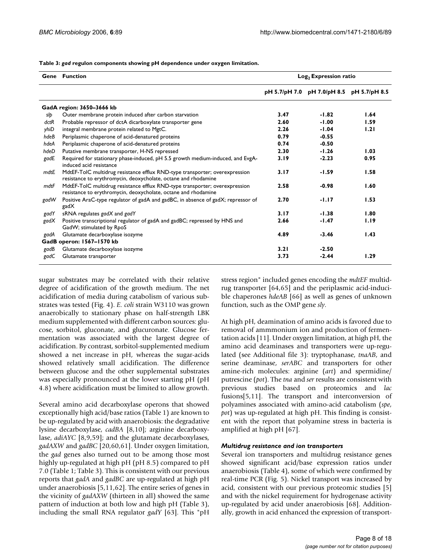**Table 3:** *gad* **regulon components showing pH dependence under oxygen limitation.**

|      | <b>Gene</b> Function                                                                                                                          | Log <sub>2</sub> Expression ratio |                                           |      |  |
|------|-----------------------------------------------------------------------------------------------------------------------------------------------|-----------------------------------|-------------------------------------------|------|--|
|      |                                                                                                                                               |                                   | pH 5.7/pH 7.0 pH 7.0/pH 8.5 pH 5.7/pH 8.5 |      |  |
|      | GadA region: 3650-3666 kb                                                                                                                     |                                   |                                           |      |  |
| slp  | Outer membrane protein induced after carbon starvation                                                                                        | 3.47                              | $-1.82$                                   | 1.64 |  |
| dctR | Probable repressor of dctA dicarboxylate transporter gene                                                                                     | 2.60                              | $-1.00$                                   | 1.59 |  |
| yhiD | integral membrane protein related to MgtC.                                                                                                    | 2.26                              | $-1.04$                                   | 1.21 |  |
| hdeB | Periplasmic chaperone of acid-denatured proteins                                                                                              | 0.79                              | $-0.55$                                   |      |  |
| hdeA | Periplasmic chaperone of acid-denatured proteins                                                                                              | 0.74                              | $-0.50$                                   |      |  |
| hdeD | Putative membrane transporter, H-NS repressed                                                                                                 | 2.30                              | $-1.26$                                   | 1.03 |  |
| gadE | Required for stationary phase-induced, pH 5.5 growth medium-induced, and EvgA-<br>induced acid resistance                                     | 3.19                              | $-2.23$                                   | 0.95 |  |
| mdtE | MdtEF-ToIC multidrug resistance efflux RND-type transporter; overexpression<br>resistance to erythromycin, deoxycholate, octane and rhodamine | 3.17                              | $-1.59$                                   | 1.58 |  |
| mdtF | MdtEF-TolC multidrug resistance efflux RND-type transporter; overexpression<br>resistance to erythromycin, deoxycholate, octane and rhodamine | 2.58                              | $-0.98$                                   | 1.60 |  |
| gadW | Positive AraC-type regulator of gadA and gadBC, in absence of gadX; repressor of<br>gadX                                                      | 2.70                              | $-1.17$                                   | 1.53 |  |
| gadY | sRNA regulates gadX and gadY                                                                                                                  | 3.17                              | $-1.38$                                   | 1.80 |  |
| gadX | Positive transcriptional regulator of gadA and gadBC; repressed by HNS and                                                                    | 2.66                              | $-1.47$                                   | 1.19 |  |
|      | GadW; stimulated by RpoS                                                                                                                      |                                   |                                           |      |  |
| gadA | Glutamate decarboxylase isozyme                                                                                                               | 4.89                              | $-3.46$                                   | 1.43 |  |
|      | GadB operon: 1567-1570 kb                                                                                                                     |                                   |                                           |      |  |
| gadB | Glutamate decarboxylase isozyme                                                                                                               | 3.21                              | $-2.50$                                   |      |  |
| gadC | Glutamate transporter                                                                                                                         | 3.73                              | $-2.44$                                   | 1.29 |  |

sugar substrates may be correlated with their relative degree of acidification of the growth medium. The net acidification of media during catabolism of various substrates was tested (Fig. 4). *E. coli* strain W3110 was grown anaerobically to stationary phase on half-strength LBK medium supplemented with different carbon sources: glucose, sorbitol, gluconate, and glucuronate. Glucose fermentation was associated with the largest degree of acidification. By contrast, sorbitol-supplemented medium showed a net increase in pH, whereas the sugar-acids showed relatively small acidification. The difference between glucose and the other supplemental substrates was especially pronounced at the lower starting pH (pH 4.8) where acidification must be limited to allow growth.

Several amino acid decarboxylase operons that showed exceptionally high acid/base ratios (Table 1) are known to be up-regulated by acid with anaerobiosis: the degradative lysine decarboxylase, *cadBA* [8,10]; arginine decarboxylase, *adiAYC* [8,9,59]; and the glutamate decarboxylases, *gadAXW* and *gadBC* [20,60,61]. Under oxygen limitation, the *gad* genes also turned out to be among those most highly up-regulated at high pH (pH 8.5) compared to pH 7.0 (Table 1; Table 3). This is consistent with our previous reports that *gadA* and *gadBC* are up-regulated at high pH under anaerobiosis [5,11,62]. The entire series of genes in the vicinity of *gadAXW* (thirteen in all) showed the same pattern of induction at both low and high pH (Table 3), including the small RNA regulator *gadY* [63]. This "pH

stress region" included genes encoding the *mdtEF* multidrug transporter [64,65] and the periplasmic acid-inducible chaperones *hdeAB* [66] as well as genes of unknown function, such as the OMP gene *sly*.

At high pH, deamination of amino acids is favored due to removal of ammmonium ion and production of fermentation acids [11]. Under oxygen limitation, at high pH, the amino acid deaminases and transporters were up-regulated (see Additional file 3): tryptophanase, *tnaAB*, and serine deaminase, *serABC* and transporters for other amine-rich molecules: arginine (*art*) and spermidine/ putrescine (*pot*). The *tna* and *ser* results are consistent with previous studies based on proteomics and *lac* fusions[5,11]. The transport and interconversion of polyamines associated with amino-acid catabolism (*spe*, *pot*) was up-regulated at high pH. This finding is consistent with the report that polyamine stress in bacteria is amplified at high pH [67].

#### *Multidrug resistance and ion transporters*

Several ion transporters and multidrug resistance genes showed significant acid/base expression ratios under anaerobiosis (Table 4), some of which were confirmed by real-time PCR (Fig. 5). Nickel transport was increased by acid, consistent with our previous proteomic studies [5] and with the nickel requirement for hydrogenase activity up-regulated by acid under anaerobiosis [68]. Additionally, growth in acid enhanced the expression of transport-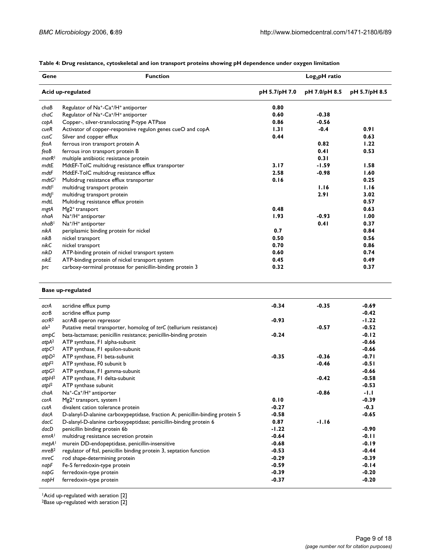| Gene                         | <b>Function</b>                                                          |               | Log <sub>2</sub> pH ratio |               |
|------------------------------|--------------------------------------------------------------------------|---------------|---------------------------|---------------|
|                              | Acid up-regulated                                                        | pH 5.7/pH 7.0 | pH 7.0/pH 8.5             | pH 5.7/pH 8.5 |
| chaB                         | Regulator of Na <sup>+</sup> -Ca <sup>+</sup> /H <sup>+</sup> antiporter | 0.80          |                           |               |
| chaC                         | Regulator of Na <sup>+</sup> -Ca <sup>+</sup> /H <sup>+</sup> antiporter | 0.60          | $-0.38$                   |               |
| copA                         | Copper-, silver-translocating P-type ATPase                              | 0.86          | $-0.56$                   |               |
| cueR                         | Activator of copper-responsive regulon genes cueO and copA               | 1.31          | $-0.4$                    | 0.91          |
| $\mathsf{c}$ us $\mathsf{C}$ | Silver and copper efflux                                                 | 0.44          |                           | 0.63          |
| feoA                         | ferrous iron transport protein A                                         |               | 0.82                      | 1.22          |
| feoB                         | ferrous iron transport protein B                                         |               | 0.41                      | 0.53          |
| marR                         | multiple antibiotic resistance protein                                   |               | 0.31                      |               |
| mdtE                         | MdtEF-ToIC multidrug resistance efflux transporter                       | 3.17          | $-1.59$                   | 1.58          |
| mdtF                         | MdtEF-ToIC multidrug resistance efflux                                   | 2.58          | $-0.98$                   | 1.60          |
| $mdtG$ <sup>I</sup>          | Multidrug resistance efflux transporter                                  | 0.16          |                           | 0.25          |
| mdtl                         | multidrug transport protein                                              |               | 1.16                      | 1.16          |
| mdt                          | multidrug transport protein                                              |               | 2.91                      | 3.02          |
| mdtL                         | Multidrug resistance efflux protein                                      |               |                           | 0.57          |
| mgtA                         | Mg <sub>2</sub> + transport                                              | 0.48          |                           | 0.63          |
| nhaA                         | Na <sup>+</sup> /H <sup>+</sup> antiporter                               | 1.93          | $-0.93$                   | 1.00          |
| nhaB <sup>1</sup>            | Na <sup>+</sup> /H <sup>+</sup> antiporter                               |               | 0.41                      | 0.37          |
| nikA                         | periplasmic binding protein for nickel                                   | 0.7           |                           | 0.84          |
| nikB                         | nickel transport                                                         | 0.50          |                           | 0.56          |
| nikC                         | nickel transport                                                         | 0.70          |                           | 0.86          |
| nikD                         | ATP-binding protein of nickel transport system                           | 0.60          |                           | 0.74          |
| nikE                         | ATP-binding protein of nickel transport system                           | 0.45          |                           | 0.49          |
| prc                          | carboxy-terminal protease for penicillin-binding protein 3               | 0.32          |                           | 0.37          |

**Table 4: Drug resistance, cytoskeletal and ion transport proteins showing pH dependence under oxygen limitation**

#### **Base up-regulated**

| acrA              | acridine efflux pump                                                          | $-0.34$ | $-0.35$ | $-0.69$ |
|-------------------|-------------------------------------------------------------------------------|---------|---------|---------|
| acrB              | acridine efflux pump                                                          |         |         | $-0.42$ |
| acrR <sup>2</sup> | acrAB operon repressor                                                        | $-0.93$ |         | $-1.22$ |
| $dx^2$            | Putative metal transporter, homolog of terC (tellurium resistance)            |         | $-0.57$ | $-0.52$ |
| ampC              | beta-lactamase; penicillin resistance; penicillin-binding protein             | $-0.24$ |         | $-0.12$ |
| atpA <sup>2</sup> | ATP synthase, FI alpha-subunit                                                |         |         | $-0.66$ |
| atpC <sup>2</sup> | ATP synthase, F1 epsilon-subunit                                              |         |         | $-0.66$ |
| atpD <sup>2</sup> | ATP synthase, F1 beta-subunit                                                 | $-0.35$ | $-0.36$ | $-0.71$ |
| atpF <sup>2</sup> | ATP synthase, F0 subunit b                                                    |         | $-0.46$ | $-0.51$ |
| atpG <sup>2</sup> | ATP synthase, F1 gamma-subunit                                                |         |         | $-0.66$ |
| atpH <sup>2</sup> | ATP synthase, F1 delta-subunit                                                |         | $-0.42$ | $-0.58$ |
| atpl <sup>2</sup> | ATP synthase subunit                                                          |         |         | $-0.53$ |
| chaA              | Na <sup>+</sup> -Ca <sup>+</sup> /H <sup>+</sup> antiporter                   |         | $-0.86$ | $-1.1$  |
| corA              | Mg <sub>2</sub> + transport, system I                                         | 0.10    |         | $-0.39$ |
| cutA              | divalent cation tolerance protein                                             | $-0.27$ |         | $-0.3$  |
| dacA              | D-alanyl-D-alanine carboxypeptidase, fraction A; penicillin-binding protein 5 | $-0.58$ |         | $-0.65$ |
| dacC              | D-alanyl-D-alanine carboxypeptidase; penicillin-binding protein 6             | 0.87    | $-1.16$ |         |
| dacD              | penicillin binding protein 6b                                                 | $-1.22$ |         | $-0.90$ |
| emrA              | multidrug resistance secretion protein                                        | $-0.64$ |         | $-0.11$ |
| mepAl             | murein DD-endopeptidase, penicillin-insensitive                               | $-0.68$ |         | $-0.19$ |
| mreB <sup>2</sup> | regulator of ftsl, penicillin binding protein 3, septation function           | $-0.53$ |         | $-0.44$ |
| mrec              | rod shape-determining protein                                                 | $-0.29$ |         | $-0.39$ |
| napF              | Fe-S ferredoxin-type protein                                                  | $-0.59$ |         | $-0.14$ |
| napG              | ferredoxin-type protein                                                       | $-0.39$ |         | $-0.20$ |
| napH              | ferredoxin-type protein                                                       | $-0.37$ |         | $-0.20$ |
|                   |                                                                               |         |         |         |

1Acid up-regulated with aeration [2]

<sup>2</sup>Base up-regulated with aeration [2]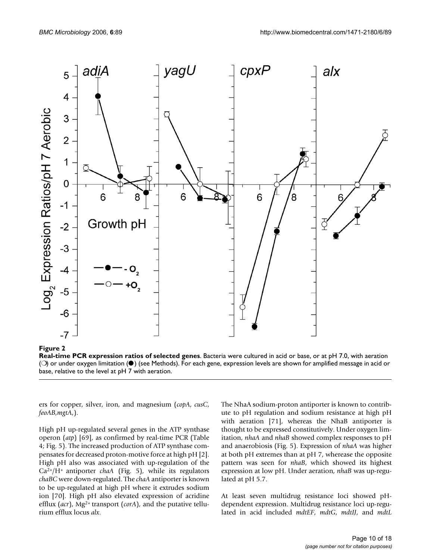

**Figure 2** 

**Real-time PCR expression ratios of selected genes**. Bacteria were cultured in acid or base, or at pH 7.0, with aeration (❍) or under oxygen limitation (●) (see Methods). For each gene, expression levels are shown for amplified message in acid or base, relative to the level at pH 7 with aeration.

ers for copper, silver, iron, and magnesium (*copA*, *cusC*, *feoAB*,*mgtA*,).

High pH up-regulated several genes in the ATP synthase operon (*atp*) [69], as confirmed by real-time PCR (Table 4; Fig. 5). The increased production of ATP synthase compensates for decreased proton-motive force at high pH [2]. High pH also was associated with up-regulation of the Ca2+/H+ antiporter *chaA* (Fig. 5), while its regulators *chaBC* were down-regulated. The *chaA* antiporter is known to be up-regulated at high pH where it extrudes sodium ion [70]. High pH also elevated expression of acridine efflux (*acr*), Mg2+ transport (*corA*), and the putative tellurium efflux locus *alx*.

The NhaA sodium-proton antiporter is known to contribute to pH regulation and sodium resistance at high pH with aeration [71], whereas the NhaB antiporter is thought to be expressed constitutively. Under oxygen limitation, *nhaA* and *nhaB* showed complex responses to pH and anaerobiosis (Fig. 5). Expression of *nhaA* was higher at both pH extremes than at pH 7, wherease the opposite pattern was seen for *nhaB*, which showed its highest expression at low pH. Under aeration, *nhaB* was up-regulated at pH 5.7.

At least seven multidrug resistance loci showed pHdependent expression. Multidrug resistance loci up-regulated in acid included *mdtEF*, *mdtG*, *mdtIJ*, and *mdtL*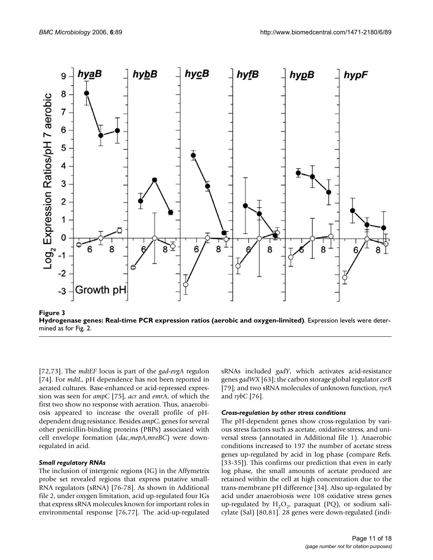

Hydrogenase genes: Real-tim **Figure 3** e PCR expression ratios (aerobic and oxygen-limited) **Hydrogenase genes: Real-time PCR expression ratios (aerobic and oxygen-limited)**. Expression levels were determined as for Fig. 2.

[72,73]. The *mdtEF* locus is part of the *gad-evgA* regulon [74]. For *mdtL*, pH dependence has not been reported in aerated cultures. Base-enhanced or acid-repressed expression was seen for *ampC* [75], *acr* and *emrA*, of which the first two show no response with aeration. Thus, anaerobiosis appeared to increase the overall profile of pHdependent drug resistance. Besides *ampC*, genes for several other penicillin-binding proteins (PBPs) associated with cell envelope formation (*dac*,*mepA*,*mreBC*) were downregulated in acid.

#### *Small regulatory RNAs*

The inclusion of intergenic regions (IG) in the Affymetrix probe set revealed regions that express putative small-RNA regulators (sRNA) [76-78]. As shown in Additional file 2, under oxygen limitation, acid up-regulated four IGs that express sRNA molecules known for important roles in environmental response [76,77]. The acid-up-regulated

sRNAs included *gadY*, which activates acid-resistance genes *gadWX* [63]; the carbon storage global regulator *csrB* [79]; and two sRNA molecules of unknown function, *ryeA* and *rybC* [76].

#### *Cross-regulation by other stress conditions*

The pH-dependent genes show cross-regulation by various stress factors such as acetate, oxidative stress, and universal stress (annotated in Additional file 1). Anaerobic conditions increased to 197 the number of acetate stress genes up-regulated by acid in log phase (compare Refs. [33-35]). This confirms our prediction that even in early log phase, the small amounts of acetate produced are retained within the cell at high concentration due to the trans-membrane pH difference [34]. Also up-regulated by acid under anaerobiosis were 108 oxidative stress genes up-regulated by  $H_2O_{2}$ , paraquat (PQ), or sodium salicylate (Sal) [80,81]. 28 genes were down-regulated (indi-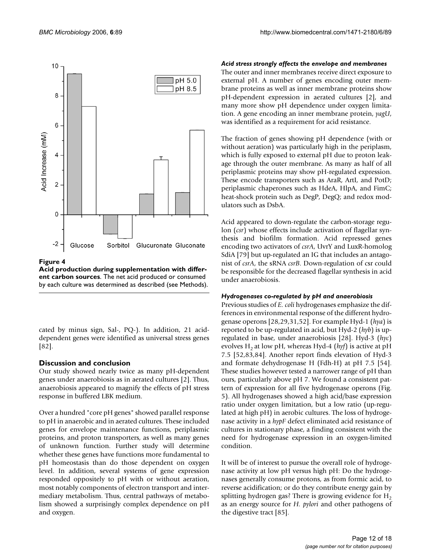

**Figure 4 Acid production during supplementation with different carbon sources**. The net acid produced or consumed by each culture was determined as described (see Methods).

cated by minus sign, Sal-, PQ-). In addition, 21 aciddependent genes were identified as universal stress genes [82].

## **Discussion and conclusion**

Our study showed nearly twice as many pH-dependent genes under anaerobiosis as in aerated cultures [2]. Thus, anaerobiosis appeared to magnify the effects of pH stress response in buffered LBK medium.

Over a hundred "core pH genes" showed parallel response to pH in anaerobic and in aerated cultures. These included genes for envelope maintenance functions, periplasmic proteins, and proton transporters, as well as many genes of unknown function. Further study will determine whether these genes have functions more fundamental to pH homeostasis than do those dependent on oxygen level. In addition, several systems of gene expression responded oppositely to pH with or without aeration, most notably components of electron transport and intermediary metabolism. Thus, central pathways of metabolism showed a surprisingly complex dependence on pH and oxygen.

### *Acid stress strongly affects the envelope and membranes*

The outer and inner membranes receive direct exposure to external pH. A number of genes encoding outer membrane proteins as well as inner membrane proteins show pH-dependent expression in aerated cultures [2], and many more show pH dependence under oxygen limitation. A gene encoding an inner membrane protein, *yagU*, was identified as a requirement for acid resistance.

The fraction of genes showing pH dependence (with or without aeration) was particularly high in the periplasm, which is fully exposed to external pH due to proton leakage through the outer membrane. As many as half of all periplasmic proteins may show pH-regulated expression. These encode transporters such as AraR, ArtI, and PotD; periplasmic chaperones such as HdeA, HlpA, and FimC; heat-shock protein such as DegP, DegQ; and redox modulators such as DsbA.

Acid appeared to down-regulate the carbon-storage regulon (*csr*) whose effects include activation of flagellar synthesis and biofilm formation. Acid repressed genes encoding two activators of *csrA*, UvrY and LuxR-homolog SdiA [79] but up-regulated an IG that includes an antagonist of *csrA*, the sRNA *csrB*. Down-regulation of csr could be responsible for the decreased flagellar synthesis in acid under anaerobiosis.

#### *Hydrogenases co-regulated by pH and anaerobiosis*

Previous studies of *E. coli* hydrogenases emphasize the differences in environmental response of the different hydrogenase operons [28,29,31,52]. For example Hyd-1 (*hya*) is reported to be up-regulated in acid, but Hyd-2 (*hyb*) is upregulated in base, under anaerobiosis [28]. Hyd-3 (*hyc*) evolves  $H_2$  at low pH, whereas Hyd-4 (*hyf*) is active at pH 7.5 [52,83,84]. Another report finds elevation of Hyd-3 and formate dehydrogenase H (Fdh-H) at pH 7.5 [54]. These studies however tested a narrower range of pH than ours, particularly above pH 7. We found a consistent pattern of expression for all five hydrogenase operons (Fig. 5). All hydrogenases showed a high acid/base expression ratio under oxygen limitation, but a low ratio (up-regulated at high pH) in aerobic cultures. The loss of hydrogenase activity in a *hypF* defect eliminated acid resistance of cultures in stationary phase, a finding consistent with the need for hydrogenase expression in an oxygen-limited condition.

It will be of interest to pursue the overall role of hydrogenase activity at low pH versus high pH: Do the hydrogenases generally consume protons, as from formic acid, to reverse acidification; or do they contribute energy gain by splitting hydrogen gas? There is growing evidence for  $H<sub>2</sub>$ as an energy source for *H. pylori* and other pathogens of the digestive tract [85].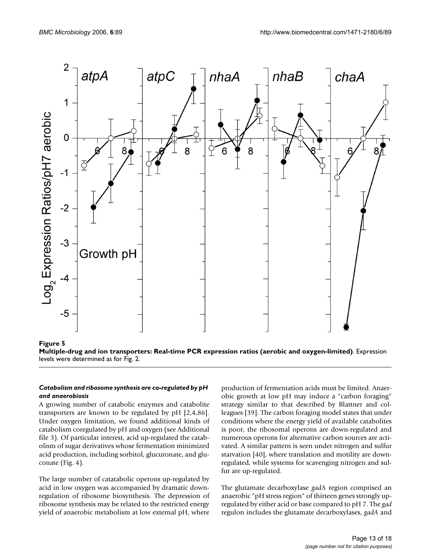

Multiple-drug and ion transporters: Real-time PCR expression ratios (aerobic and oxygen-limited) **Figure 5**

**Multiple-drug and ion transporters: Real-time PCR expression ratios (aerobic and oxygen-limited)**. Expression levels were determined as for Fig. 2.

#### *Catabolism and ribosome synthesis are co-regulated by pH and anaerobiosis*

A growing number of catabolic enzymes and catabolite transporters are known to be regulated by pH [2,4,86]. Under oxygen limitation, we found additional kinds of catabolism coregulated by pH and oxygen (see Additional file 3). Of particular interest, acid up-regulated the catabolism of sugar derivatives whose fermentation minimized acid production, including sorbitol, glucuronate, and gluconate (Fig. 4).

The large number of catatabolic operons up-regulated by acid in low oxygen was accompanied by dramatic downregulation of ribosome biosynthesis. The depression of ribosome synthesis may be related to the restricted energy yield of anaerobic metabolism at low external pH, where production of fermentation acids must be limited. Anaerobic growth at low pH may induce a "carbon foraging" strategy similar to that described by Blattner and colleagues [39]. The carbon foraging model states that under conditions where the energy yield of available catabolites is poor, the ribosomal operons are down-regulated and numerous operons for alternative carbon sources are activated. A similar pattern is seen under nitrogen and sulfur starvation [40], where translation and motility are downregulated, while systems for scavenging nitrogen and sulfur are up-regulated.

The glutamate decarboxylase *gadA* region comprised an anaerobic "pH stress region" of thirteen genes strongly upregulated by either acid or base compared to pH 7. The *gad* regulon includes the glutamate decarboxylases, *gadA* and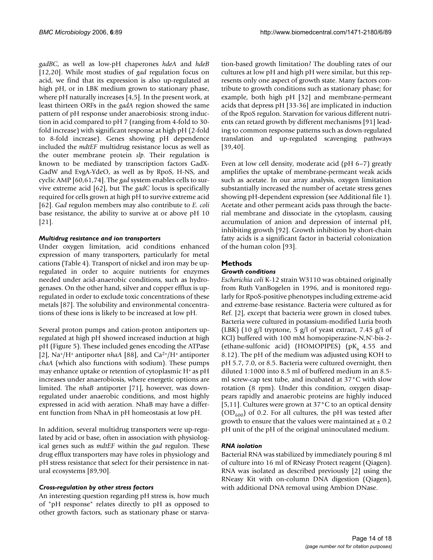*gadBC*, as well as low-pH chaperones *hdeA* and *hdeB* [12,20]. While most studies of *gad* regulation focus on acid, we find that its expression is also up-regulated at high pH, or in LBK medium grown to stationary phase, where pH naturally increases [4,5]. In the present work, at least thirteen ORFs in the *gadA* region showed the same pattern of pH response under anaerobiosis: strong induction in acid compared to pH 7 (ranging from 4-fold to 30 fold increase) with significant response at high pH (2-fold to 8-fold increase). Genes showing pH dependence included the *mdtEF* multidrug resistance locus as well as the outer membrane protein *slp*. Their regulation is known to be mediated by transcription factors GadX-GadW and EvgA-YdeO, as well as by RpoS, H-NS, and cyclic AMP [60,61,74]. The *gad* system enables cells to survive extreme acid [62], but The *gadC* locus is specifically required for cells grown at high pH to survive extreme acid [62]. *Gad* regulon members may also contribute to *E. coli* base resistance, the ability to survive at or above pH 10 [21].

#### *Multidrug resistance and ion transporters*

Under oxygen limitation, acid conditions enhanced expression of many transporters, particularly for metal cations (Table 4). Transport of nickel and iron may be upregulated in order to acquire nutrients for enzymes needed under acid-anaerobic conditions, such as hydrogenases. On the other hand, silver and copper efflux is upregulated in order to exclude toxic concentrations of these metals [87]. The solubility and environmental concentrations of these ions is likely to be increased at low pH.

Several proton pumps and cation-proton antiporters upregulated at high pH showed increased induction at high pH (Figure 5). These included genes encoding the ATPase [2], Na+/H+ antiporter *nhaA* [88], and Ca2+/H+ antiporter *chaA* (which also functions with sodium). These pumps may enhance uptake or retention of cytoplasmic H+ as pH increases under anaerobiosis, where energetic options are limited. The *nhaB* antiporter [71], however, was downregulated under anaerobic conditions, and most highly expressed in acid with aeration. NhaB may have a different function from NhaA in pH homeostasis at low pH.

In addition, several multidrug transporters were up-regulated by acid or base, often in association with physiological genes such as *mdtEF* within the *gad* regulon. These drug efflux transporters may have roles in physiology and pH stress resistance that select for their persistence in natural ecosystems [89,90].

#### *Cross-regulation by other stress factors*

An interesting question regarding pH stress is, how much of "pH response" relates directly to pH as opposed to other growth factors, such as stationary phase or starvation-based growth limitation? The doubling rates of our cultures at low pH and high pH were similar, but this represents only one aspect of growth state. Many factors contribute to growth conditions such as stationary phase; for example, both high pH [32] and membrane-permeant acids that depress pH [33-36] are implicated in induction of the RpoS regulon. Starvation for various different nutrients can retard growth by different mechanisms [91] leading to common response patterns such as down-regulated translation and up-regulated scavenging pathways [39,40].

Even at low cell density, moderate acid (pH 6–7) greatly amplifies the uptake of membrane-permeant weak acids such as acetate. In our array analysis, oxygen limitation substantially increased the number of acetate stress genes showing pH-dependent expression (see Additional file 1). Acetate and other permeant acids pass through the bacterial membrane and dissociate in the cytoplasm, causing accumulation of anion and depression of internal pH, inhibiting growth [92]. Growth inhibition by short-chain fatty acids is a significant factor in bacterial colonization of the human colon [93].

## **Methods**

#### *Growth conditions*

*Escherichia coli* K-12 strain W3110 was obtained originally from Ruth VanBogelen in 1996, and is monitored regularly for RpoS-positive phenotypes including extreme-acid and extreme-base resistance. Bacteria were cultured as for Ref. [2], except that bacteria were grown in closed tubes. Bacteria were cultured in potassium-modified Luria broth (LBK) (10 g/l tryptone, 5 g/l of yeast extract, 7.45 g/l of KCl) buffered with 100 mM homopiperazine-N,N'-bis-2- (ethane-sulfonic acid) (HOMOPIPES) ( $pK_a$  4.55 and 8.12). The pH of the medium was adjusted using KOH to pH 5.7, 7.0, or 8.5. Bacteria were cultured overnight, then diluted 1:1000 into 8.5 ml of buffered medium in an 8.5 ml screw-cap test tube, and incubated at 37°C with slow rotation (8 rpm). Under this condition, oxygen disappears rapidly and anaerobic proteins are highly induced [5,11]. Cultures were grown at 37°C to an optical density  $(OD<sub>600</sub>)$  of 0.2. For all cultures, the pH was tested after growth to ensure that the values were maintained at  $\pm$  0.2 pH unit of the pH of the original uninoculated medium.

#### *RNA isolation*

Bacterial RNA was stabilized by immediately pouring 8 ml of culture into 16 ml of RNeasy Protect reagent (Qiagen). RNA was isolated as described previously [2] using the RNeasy Kit with on-column DNA digestion (Qiagen), with additional DNA removal using Ambion DNase.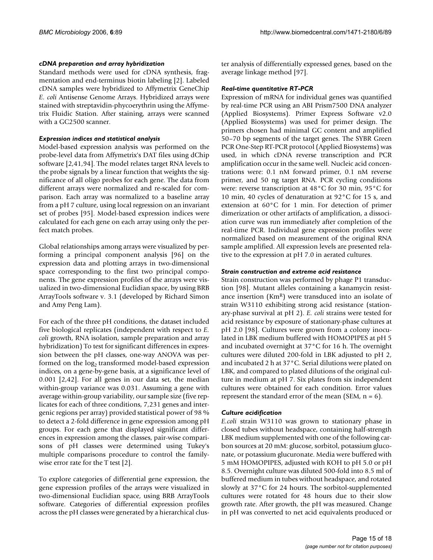#### *cDNA preparation and array hybridization*

Standard methods were used for cDNA synthesis, fragmentation and end-terminus biotin labeling [2]. Labeled cDNA samples were hybridized to Affymetrix GeneChip *E. coli* Antisense Genome Arrays. Hybridized arrays were stained with streptavidin-phycoerythrin using the Affymetrix Fluidic Station. After staining, arrays were scanned with a GC2500 scanner.

#### *Expression indices and statistical analysis*

Model-based expression analysis was performed on the probe-level data from Affymetrix's DAT files using dChip software [2,41,94]. The model relates target RNA levels to the probe signals by a linear function that weights the significance of all oligo probes for each gene. The data from different arrays were normalized and re-scaled for comparison. Each array was normalized to a baseline array from a pH 7 culture, using local regression on an invariant set of probes [95]. Model-based expression indices were calculated for each gene on each array using only the perfect match probes.

Global relationships among arrays were visualized by performing a principal component analysis [96] on the expression data and plotting arrays in two-dimensional space corresponding to the first two principal components. The gene expression profiles of the arrays were visualized in two-dimensional Euclidian space, by using BRB ArrayTools software v. 3.1 (developed by Richard Simon and Amy Peng Lam).

For each of the three pH conditions, the dataset included five biological replicates (independent with respect to *E. coli* growth, RNA isolation, sample preparation and array hybridization) To test for significant differences in expression between the pH classes, one-way ANOVA was performed on the  $log<sub>2</sub>$  transformed model-based expression indices, on a gene-by-gene basis, at a significance level of 0.001 [2,42]. For all genes in our data set, the median within-group variance was 0.031. Assuming a gene with average within-group variability, our sample size (five replicates for each of three conditions, 7,231 genes and intergenic regions per array) provided statistical power of 98 % to detect a 2-fold difference in gene expression among pH groups. For each gene that displayed significant differences in expression among the classes, pair-wise comparisons of pH classes were determined using Tukey's multiple comparisons procedure to control the familywise error rate for the T test [2].

To explore categories of differential gene expression, the gene expression profiles of the arrays were visualized in two-dimensional Euclidian space, using BRB ArrayTools software. Categories of differential expression profiles across the pH classes were generated by a hierarchical cluster analysis of differentially expressed genes, based on the average linkage method [97].

## *Real-time quantitative RT-PCR*

Expression of mRNA for individual genes was quantified by real-time PCR using an ABI Prism7500 DNA analyzer (Applied Biosystems). Primer Express Software v2.0 (Applied Biosystems) was used for primer design. The primers chosen had minimal GC content and amplified 50–70 bp segments of the target genes. The SYBR Green PCR One-Step RT-PCR protocol (Applied Biosystems) was used, in which cDNA reverse transcription and PCR amplification occur in the same well. Nucleic acid concentrations were: 0.1 nM forward primer, 0.1 nM reverse primer, and 50 ng target RNA. PCR cycling conditions were: reverse transcription at 48°C for 30 min, 95°C for 10 min, 40 cycles of denaturation at 92°C for 15 s, and extension at 60°C for 1 min. For detection of primer dimerization or other artifacts of amplification, a dissociation curve was run immediately after completion of the real-time PCR. Individual gene expression profiles were normalized based on measurement of the original RNA sample amplified. All expression levels are presented relative to the expression at pH 7.0 in aerated cultures.

#### *Strain construction and extreme acid resistance*

Strain construction was performed by phage P1 transduction [98]. Mutant alleles containing a kanamycin resistance insertion  $(Km<sup>R</sup>)$  were transduced into an isolate of strain W3110 exhibiting strong acid resistance (stationary-phase survival at pH 2). *E. coli* strains were tested for acid resistance by exposure of stationary-phase cultures at pH 2.0 [98]. Cultures were grown from a colony inoculated in LBK medium buffered with HOMOPIPES at pH 5 and incubated overnight at 37°C for 16 h. The overnight cultures were diluted 200-fold in LBK adjusted to pH 2, and incubated 2 h at 37°C. Serial dilutions were plated on LBK, and compared to plated dilutions of the original culture in medium at pH 7. Six plates from six independent cultures were obtained for each condition. Error values represent the standard error of the mean (SEM,  $n = 6$ ).

#### *Culture acidification*

*E.coli* strain W3110 was grown to stationary phase in closed tubes without headspace, containing half-strength LBK medium supplemented with one of the following carbon sources at 20 mM: glucose, sorbitol, potassium gluconate, or potassium glucuronate. Media were buffered with 5 mM HOMOPIPES, adjusted with KOH to pH 5.0 or pH 8.5. Overnight culture was diluted 500-fold into 8.5 ml of buffered medium in tubes without headspace, and rotated slowly at 37°C for 24 hours. The sorbitol-supplemented cultures were rotated for 48 hours due to their slow growth rate. After growth, the pH was measured. Change in pH was converted to net acid equivalents produced or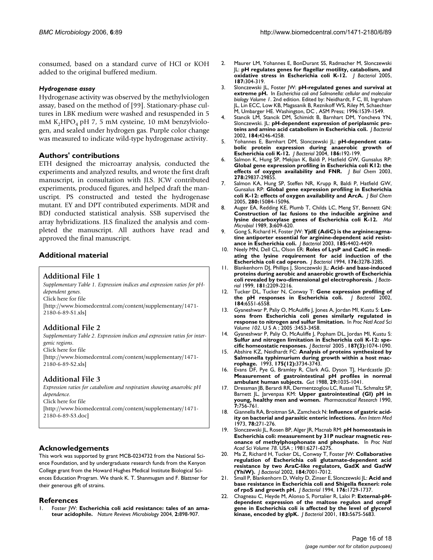consumed, based on a standard curve of HCl or KOH added to the original buffered medium.

#### *Hydrogenase assay*

Hydrogenase activity was observed by the methylviologen assay, based on the method of [99]. Stationary-phase cultures in LBK medium were washed and resuspended in 5 mM K<sub>2</sub>HPO<sub>4</sub> pH 7, 5 mM cysteine, 10 mM benzylviologen, and sealed under hydrogen gas. Purple color change was measured to indicate wild-type hydrogenase activity.

#### **Authors' contributions**

ETH designed the microarray analysis, conducted the experiments and analyzed results, and wrote the first draft manuscript, in consultation with JLS. JCW contributed experiments, produced figures, and helped draft the manuscript. PS constructed and tested the hydrogenase mutant. EY and DPT contributed experiments. MDR and BDJ conducted statistical analysis. SSB supervised the array hybridizations. JLS finalized the analysis and completed the manuscript. All authors have read and approved the final manuscript.

## **Additional material**

#### **Additional File 1**

*Supplementary Table 1. Expression indices and expression ratios for pHdependent genes.* Click here for file [\[http://www.biomedcentral.com/content/supplementary/1471-](http://www.biomedcentral.com/content/supplementary/1471-2180-6-89-S1.xls) 2180-6-89-S1.xls]

#### **Additional File 2**

*Supplementary Table 2. Expression indices and expression ratios for intergenic regions.* Click here for file [\[http://www.biomedcentral.com/content/supplementary/1471-](http://www.biomedcentral.com/content/supplementary/1471-2180-6-89-S2.xls) 2180-6-89-S2.xls]

## **Additional File 3**

*Expression ratios for catabolism and respiration showing anaerobic pH dependence.* Click here for file [\[http://www.biomedcentral.com/content/supplementary/1471-](http://www.biomedcentral.com/content/supplementary/1471-2180-6-89-S3.doc) 2180-6-89-S3.doc]

#### **Acknowledgements**

This work was supported by grant MCB-0234732 from the National Science Foundation, and by undergraduate research funds from the Kenyon College grant from the Howard Hughes Medical Institute Biological Sciences Education Program. We thank K. T. Shanmugam and F. Blattner for their generous gift of strains.

#### **References**

1. Foster JW: **[Escherichia coli acid resistance: tales of an ama](http://www.ncbi.nlm.nih.gov/entrez/query.fcgi?cmd=Retrieve&db=PubMed&dopt=Abstract&list_uids=15494746)[teur acidophile.](http://www.ncbi.nlm.nih.gov/entrez/query.fcgi?cmd=Retrieve&db=PubMed&dopt=Abstract&list_uids=15494746)** *Nature Reviews Microbiology* 2004, **2:**898-907.

- 2. Maurer LM, Yohannes E, BonDurant SS, Radmacher M, Slonczewski JL: **[pH regulates genes for flagellar motility, catabolism, and](http://www.ncbi.nlm.nih.gov/entrez/query.fcgi?cmd=Retrieve&db=PubMed&dopt=Abstract&list_uids=15601715) [oxidative stress in Escherichia coli K-12.](http://www.ncbi.nlm.nih.gov/entrez/query.fcgi?cmd=Retrieve&db=PubMed&dopt=Abstract&list_uids=15601715)** *J Bacteriol* 2005, **187:**304-319.
- 3. Slonczewski JL, Foster JW: **pH-regulated genes and survival at extreme pH.** In *Escherichia coli and Salmonella: cellular and molecular biology Volume 1*. 2nd edition. Edited by: Neidhardt, F C, III, Ingraham JL, Lin ECC, Low KB, Magasanik B, Reznikoff WS, Riley M, Schaechter M, Umbarger HE. Washington, DC , ASM Press; 1996:1539-1549.
- Stancik LM, Stancik DM, Schimidt B, Barnhart DM, Yoncheva YN, Slonczewski. JL: **[pH-dependent expression of periplasmic pro](http://www.ncbi.nlm.nih.gov/entrez/query.fcgi?cmd=Retrieve&db=PubMed&dopt=Abstract&list_uids=12107143)[teins and amino acid catabolism in Escherichia coli.](http://www.ncbi.nlm.nih.gov/entrez/query.fcgi?cmd=Retrieve&db=PubMed&dopt=Abstract&list_uids=12107143)** *J Bacteriol* 2002, **184:**4246-4258.
- 5. Yohannes E, Barnhart DM, Slonczewski JL: **[pH-dependent cata](http://www.ncbi.nlm.nih.gov/entrez/query.fcgi?cmd=Retrieve&db=PubMed&dopt=Abstract&list_uids=14679238)[bolic protein expression during anaerobic growth of](http://www.ncbi.nlm.nih.gov/entrez/query.fcgi?cmd=Retrieve&db=PubMed&dopt=Abstract&list_uids=14679238) [Escherichia coli K-12.](http://www.ncbi.nlm.nih.gov/entrez/query.fcgi?cmd=Retrieve&db=PubMed&dopt=Abstract&list_uids=14679238)** *J Bacteriol* 2004, **186:**192-199.
- 6. Salmon K, Hung SP, Mekjian K, Baldi P, Hatfield GW, Gunsalus RP: **[Global gene expression profiling in Escherichia coli K12: the](http://www.ncbi.nlm.nih.gov/entrez/query.fcgi?cmd=Retrieve&db=PubMed&dopt=Abstract&list_uids=12754220) [effects of oxygen availability and FNR.](http://www.ncbi.nlm.nih.gov/entrez/query.fcgi?cmd=Retrieve&db=PubMed&dopt=Abstract&list_uids=12754220)** *J Biol Chem* 2003, **278:**29837-29855.
- 7. Salmon KA, Hung SP, Steffen NR, Krupp R, Baldi P, Hatfield GW, Gunsalus RP: **[Global gene expression profiling in Escherichia](http://www.ncbi.nlm.nih.gov/entrez/query.fcgi?cmd=Retrieve&db=PubMed&dopt=Abstract&list_uids=15699038) [coli K-12: effects of oxygen availability and ArcA.](http://www.ncbi.nlm.nih.gov/entrez/query.fcgi?cmd=Retrieve&db=PubMed&dopt=Abstract&list_uids=15699038)** *J Biol Chem* 2005, **280:**15084-15096.
- 8. Auger EA, Redding KE, Plumb T, Childs LC, Meng SY, Bennett GN: **[Construction of lac fusions to the inducible arginine and](http://www.ncbi.nlm.nih.gov/entrez/query.fcgi?cmd=Retrieve&db=PubMed&dopt=Abstract&list_uids=2527331) [lysine decarboxylase genes of Escherichia coli K-12.](http://www.ncbi.nlm.nih.gov/entrez/query.fcgi?cmd=Retrieve&db=PubMed&dopt=Abstract&list_uids=2527331)** *Mol Microbiol* 1989, **3:**609-620.
- 9. Gong S, Richard H, Foster JW: **[YjdE \(AdiC\) is the arginine:agma](http://www.ncbi.nlm.nih.gov/entrez/query.fcgi?cmd=Retrieve&db=PubMed&dopt=Abstract&list_uids=12867448)[tine antiporter essential for arginine-dependent acid resist](http://www.ncbi.nlm.nih.gov/entrez/query.fcgi?cmd=Retrieve&db=PubMed&dopt=Abstract&list_uids=12867448)[ance in Escherichia coli.](http://www.ncbi.nlm.nih.gov/entrez/query.fcgi?cmd=Retrieve&db=PubMed&dopt=Abstract&list_uids=12867448)** *J Bacteriol* 2003, **185:**4402-4409.
- 10. Neely MN, Dell CL, Olson ER: **[Roles of LysP and CadC in medi](http://www.ncbi.nlm.nih.gov/entrez/query.fcgi?cmd=Retrieve&db=PubMed&dopt=Abstract&list_uids=8195083)[ating the lysine requirement for acid induction of the](http://www.ncbi.nlm.nih.gov/entrez/query.fcgi?cmd=Retrieve&db=PubMed&dopt=Abstract&list_uids=8195083) [Escherichia coli cad operon.](http://www.ncbi.nlm.nih.gov/entrez/query.fcgi?cmd=Retrieve&db=PubMed&dopt=Abstract&list_uids=8195083)** *J Bacteriol* 1994, **176:**3278-3285.
- 11. Blankenhorn DJ, Phillips J, Slonczewski JL: **[Acid- and base-induced](http://www.ncbi.nlm.nih.gov/entrez/query.fcgi?cmd=Retrieve&db=PubMed&dopt=Abstract&list_uids=10094700) [proteins during aerobic and anaerobic growth of Escherichia](http://www.ncbi.nlm.nih.gov/entrez/query.fcgi?cmd=Retrieve&db=PubMed&dopt=Abstract&list_uids=10094700) [coli revealed by two-dimensional gel electrophoresis.](http://www.ncbi.nlm.nih.gov/entrez/query.fcgi?cmd=Retrieve&db=PubMed&dopt=Abstract&list_uids=10094700)** *J Bacteriol* 1999, **181:**2209-2216.
- 12. Tucker DL, Tucker N, Conway T: **[Gene expression profiling of](http://www.ncbi.nlm.nih.gov/entrez/query.fcgi?cmd=Retrieve&db=PubMed&dopt=Abstract&list_uids=12426343) [the pH responses in Escherichia coli.](http://www.ncbi.nlm.nih.gov/entrez/query.fcgi?cmd=Retrieve&db=PubMed&dopt=Abstract&list_uids=12426343)** *J Bacteriol* 2002, **184:**6551-6558.
- 13. Gyaneshwar P, Paliy O, McAuliffe J, Jones A, Jordan MI, Kustu S: **[Les](http://www.ncbi.nlm.nih.gov/entrez/query.fcgi?cmd=Retrieve&db=PubMed&dopt=Abstract&list_uids=15716358)[sons from Escherichia coli genes similarly regulated in](http://www.ncbi.nlm.nih.gov/entrez/query.fcgi?cmd=Retrieve&db=PubMed&dopt=Abstract&list_uids=15716358) [response to nitrogen and sulfur limitation.](http://www.ncbi.nlm.nih.gov/entrez/query.fcgi?cmd=Retrieve&db=PubMed&dopt=Abstract&list_uids=15716358)** In *Proc Natl Acad Sci Volume 102*. U S A ; 2005 :3453-3458.
- 14. Gyaneshwar P, Paliy O, McAuliffe J, Popham DL, Jordan MI, Kustu S: **[Sulfur and nitrogen limitation in Escherichia coli K-12: spe](http://www.ncbi.nlm.nih.gov/entrez/query.fcgi?cmd=Retrieve&db=PubMed&dopt=Abstract&list_uids=15659685)[cific homeostatic responses.](http://www.ncbi.nlm.nih.gov/entrez/query.fcgi?cmd=Retrieve&db=PubMed&dopt=Abstract&list_uids=15659685)** *J Bacteriol* 2005 , **187(3):**1074-1090.
- 15. Abshire KZ, Neidhardt FC: **[Analysis of proteins synthesized by](http://www.ncbi.nlm.nih.gov/entrez/query.fcgi?cmd=Retrieve&db=PubMed&dopt=Abstract&list_uids=8509328) [Salmonella typhimurium during growth within a host mac](http://www.ncbi.nlm.nih.gov/entrez/query.fcgi?cmd=Retrieve&db=PubMed&dopt=Abstract&list_uids=8509328)[rophage.](http://www.ncbi.nlm.nih.gov/entrez/query.fcgi?cmd=Retrieve&db=PubMed&dopt=Abstract&list_uids=8509328)** 1993, **175(12):**3734-3743.
- 16. Evans DF, Pye G, Bramley R, Clark AG, Dyson TJ, Hardcastle JD: **[Measurement of gastrointestinal pH profiles in normal](http://www.ncbi.nlm.nih.gov/entrez/query.fcgi?cmd=Retrieve&db=PubMed&dopt=Abstract&list_uids=3410329) [ambulant human subjects.](http://www.ncbi.nlm.nih.gov/entrez/query.fcgi?cmd=Retrieve&db=PubMed&dopt=Abstract&list_uids=3410329)** *Gut* 1988, **29:**1035-1041.
- 17. Dressman JB, Berardi RR, Dermentzoglou LC, Russel TL, Schmaltz SP, Barnett JL, Jarvenpaa KM: **[Upper gastrointestinal \(GI\) pH in](http://www.ncbi.nlm.nih.gov/entrez/query.fcgi?cmd=Retrieve&db=PubMed&dopt=Abstract&list_uids=2395805) [young, healthy men and women.](http://www.ncbi.nlm.nih.gov/entrez/query.fcgi?cmd=Retrieve&db=PubMed&dopt=Abstract&list_uids=2395805)** *Pharmaceutical Research* 1990, **7:**756-761.
- 18. Giannella RA, Broitman SA, Zamcheck N: **[Influence of gastric acid](http://www.ncbi.nlm.nih.gov/entrez/query.fcgi?cmd=Retrieve&db=PubMed&dopt=Abstract&list_uids=4567180)[ity on bacterial and parasitic enteric infections.](http://www.ncbi.nlm.nih.gov/entrez/query.fcgi?cmd=Retrieve&db=PubMed&dopt=Abstract&list_uids=4567180)** *Ann Intern Med* 1973, **78:**271-276.
- 19. Slonczewski JL, Rosen BP, Alger JR, Macnab RM: **[pH homeostasis in](http://www.ncbi.nlm.nih.gov/entrez/query.fcgi?cmd=Retrieve&db=PubMed&dopt=Abstract&list_uids=7031646) [Escherichia coli: measurement by 31P nuclear magnetic res](http://www.ncbi.nlm.nih.gov/entrez/query.fcgi?cmd=Retrieve&db=PubMed&dopt=Abstract&list_uids=7031646)[onance of methylphosphonate and phosphate.](http://www.ncbi.nlm.nih.gov/entrez/query.fcgi?cmd=Retrieve&db=PubMed&dopt=Abstract&list_uids=7031646)** In *Proc Natl Acad Sci Volume 78*. USA ; 1981:6271-6275.
- 20. Ma Z, Richard H, Tucker DL, Conway T, Foster JW: **[Collaborative](http://www.ncbi.nlm.nih.gov/entrez/query.fcgi?cmd=Retrieve&db=PubMed&dopt=Abstract&list_uids=12446650) regulation of Escherichia coli glutamate-dependent acid [resistance by two AraC-like regulators, GadX and GadW](http://www.ncbi.nlm.nih.gov/entrez/query.fcgi?cmd=Retrieve&db=PubMed&dopt=Abstract&list_uids=12446650) [\(YhiW\).](http://www.ncbi.nlm.nih.gov/entrez/query.fcgi?cmd=Retrieve&db=PubMed&dopt=Abstract&list_uids=12446650)** *J Bacteriol* 2002, **184:**7001-7012.
- 21. Small P, Blankenhorn D, Welty D, Zinser E, Slonczewski JL: **[Acid and](http://www.ncbi.nlm.nih.gov/entrez/query.fcgi?cmd=Retrieve&db=PubMed&dopt=Abstract&list_uids=8132468) [base resistance in Escherichia coli and Shigella flexneri: role](http://www.ncbi.nlm.nih.gov/entrez/query.fcgi?cmd=Retrieve&db=PubMed&dopt=Abstract&list_uids=8132468) [of rpoS and growth pH.](http://www.ncbi.nlm.nih.gov/entrez/query.fcgi?cmd=Retrieve&db=PubMed&dopt=Abstract&list_uids=8132468)** *J Bacteriol* 1994, **176:**1729-1737.
- 22. Chagneau C, Heyde M, Alonso S, Portalier R, Laloi P: **[External-pH](http://www.ncbi.nlm.nih.gov/entrez/query.fcgi?cmd=Retrieve&db=PubMed&dopt=Abstract&list_uids=11544231)dependent expression of the maltose regulon and ompF [gene in Escherichia coli is affected by the level of glycerol](http://www.ncbi.nlm.nih.gov/entrez/query.fcgi?cmd=Retrieve&db=PubMed&dopt=Abstract&list_uids=11544231) [kinase, encoded by glpK.](http://www.ncbi.nlm.nih.gov/entrez/query.fcgi?cmd=Retrieve&db=PubMed&dopt=Abstract&list_uids=11544231)** *J Bacteriol* 2001, **183:**5675-5683.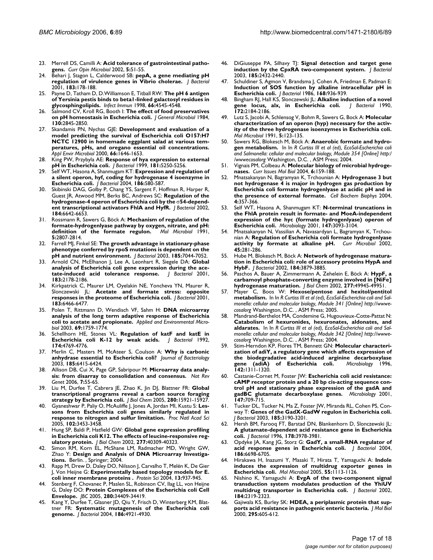- 23. Merrell DS, Camilli A: **[Acid tolerance of gastrointestinal patho](http://www.ncbi.nlm.nih.gov/entrez/query.fcgi?cmd=Retrieve&db=PubMed&dopt=Abstract&list_uids=11834369)[gens.](http://www.ncbi.nlm.nih.gov/entrez/query.fcgi?cmd=Retrieve&db=PubMed&dopt=Abstract&list_uids=11834369)** *Curr Opin Microbiol* 2002, **5:**51-55.
- 24. Behari J, Stagon L, Calderwood SB: **[pepA, a gene mediating pH](http://www.ncbi.nlm.nih.gov/entrez/query.fcgi?cmd=Retrieve&db=PubMed&dopt=Abstract&list_uids=11114915) [regulation of virulence genes in Vibrio cholerae.](http://www.ncbi.nlm.nih.gov/entrez/query.fcgi?cmd=Retrieve&db=PubMed&dopt=Abstract&list_uids=11114915)** *J Bacteriol* 2001, **183:**178-188.
- 25. Payne D, Tatham D, D.Williamson E, Titball RW: **[The pH 6 antigen](http://www.ncbi.nlm.nih.gov/entrez/query.fcgi?cmd=Retrieve&db=PubMed&dopt=Abstract&list_uids=9712817) [of Yersinia pestis binds to beta1-linked galactosyl residues in](http://www.ncbi.nlm.nih.gov/entrez/query.fcgi?cmd=Retrieve&db=PubMed&dopt=Abstract&list_uids=9712817) [glycosphingolipids.](http://www.ncbi.nlm.nih.gov/entrez/query.fcgi?cmd=Retrieve&db=PubMed&dopt=Abstract&list_uids=9712817)** *Infect Immun* 1998, **66:**4545-4548.
- 26. Salmond CV, Kroll RG, Booth I: **The effect of food preservatives on pH homeostasis in Escherichia coli.** *J General Microbiol* 1984, **130:**2845-2850.
- 27. Skandamis PN, Nychas GJE: **Development and evaluation of a model predicting the survival of Escherichia coli O157:H7 NCTC 12900 in homemade eggplant salad at various temperatures, pHs, and oregano essential oil concentrations.** *Appl Envir Microbiol* 2000, **66:**1646-1653.
- 28. King PW, Przybyla AE: **[Response of hya expression to external](http://www.ncbi.nlm.nih.gov/entrez/query.fcgi?cmd=Retrieve&db=PubMed&dopt=Abstract&list_uids=10464194) [pH in Escherichia coli.](http://www.ncbi.nlm.nih.gov/entrez/query.fcgi?cmd=Retrieve&db=PubMed&dopt=Abstract&list_uids=10464194)** *J Bacteriol* 1999, **181:**5250-5256.
- 29. Self WT, Hasona A, Shanmugam KT: **[Expression and regulation of](http://www.ncbi.nlm.nih.gov/entrez/query.fcgi?cmd=Retrieve&db=PubMed&dopt=Abstract&list_uids=14702328) [a silent operon, hyf, coding for hydrogenase 4 isoenzyme in](http://www.ncbi.nlm.nih.gov/entrez/query.fcgi?cmd=Retrieve&db=PubMed&dopt=Abstract&list_uids=14702328) [Escherichia coli.](http://www.ncbi.nlm.nih.gov/entrez/query.fcgi?cmd=Retrieve&db=PubMed&dopt=Abstract&list_uids=14702328)** *J Bacteriol* 2004, **186:**580-587.
- 30. Skibinski DAG, Golby P, Chang YS, Sargent F, Hoffman R, Harper R, Guest JR, Atwood MM, Berks BC, Andrews SC: **Regulation of the hydrogenase-4 operon of Escherichia coli by the** σ**[54-depend](http://www.ncbi.nlm.nih.gov/entrez/query.fcgi?cmd=Retrieve&db=PubMed&dopt=Abstract&list_uids=12426353)[ent transcriptional activators FhlA and HyfR.](http://www.ncbi.nlm.nih.gov/entrez/query.fcgi?cmd=Retrieve&db=PubMed&dopt=Abstract&list_uids=12426353)** *J Bacteriol* 2002, **184:**6642-6653.
- 31. Rossmann R, Sawers G, Böck A: **[Mechanism of regulation of the](http://www.ncbi.nlm.nih.gov/entrez/query.fcgi?cmd=Retrieve&db=PubMed&dopt=Abstract&list_uids=1779767) [formate-hydrogenlyase pathway by oxygen, nitrate, and pH:](http://www.ncbi.nlm.nih.gov/entrez/query.fcgi?cmd=Retrieve&db=PubMed&dopt=Abstract&list_uids=1779767)** [definition of the formate regulon.](http://www.ncbi.nlm.nih.gov/entrez/query.fcgi?cmd=Retrieve&db=PubMed&dopt=Abstract&list_uids=1779767) **5:**2807-2814.
- 32. Farrell MJ, Finkel SE: **[The growth advantage in stationary-phase](http://www.ncbi.nlm.nih.gov/entrez/query.fcgi?cmd=Retrieve&db=PubMed&dopt=Abstract&list_uids=14645263) [phenotype conferred by rpoS mutations is dependent on the](http://www.ncbi.nlm.nih.gov/entrez/query.fcgi?cmd=Retrieve&db=PubMed&dopt=Abstract&list_uids=14645263) [pH and nutrient environment.](http://www.ncbi.nlm.nih.gov/entrez/query.fcgi?cmd=Retrieve&db=PubMed&dopt=Abstract&list_uids=14645263)** *J Bacteriol* 2003, **185:**7044-7052.
- 33. Arnold CN, McElhanon J, Lee A, Leonhart R, Siegele DA: **[Global](http://www.ncbi.nlm.nih.gov/entrez/query.fcgi?cmd=Retrieve&db=PubMed&dopt=Abstract&list_uids=11244055)** analysis of Escherichia coli gene expression during the ace-<br>tate-induced acid tolerance response. | Bacteriol 2001, [tate-induced acid tolerance response.](http://www.ncbi.nlm.nih.gov/entrez/query.fcgi?cmd=Retrieve&db=PubMed&dopt=Abstract&list_uids=11244055) **183:**2178-2186.
- 34. Kirkpatrick C, Maurer LM, Oyelakin NE, Yoncheva YN, Maurer R, Slonczewski JL: **[Acetate and formate stress: opposite](http://www.ncbi.nlm.nih.gov/entrez/query.fcgi?cmd=Retrieve&db=PubMed&dopt=Abstract&list_uids=11591692) [responses in the proteome of Escherichia coli.](http://www.ncbi.nlm.nih.gov/entrez/query.fcgi?cmd=Retrieve&db=PubMed&dopt=Abstract&list_uids=11591692)** *J Bacteriol* 2001, **183:**6466-6477.
- 35. Polen T, Rittmann D, Wendisch VF, Sahm H: **DNA microarray analysis of the long term adaptive response of Escherichia coli to acetate and propionate.** *Applied and Environmental Microbiol* 2003, **69:**1759-1774.
- 36. Schellhorn HE, Stones VL: **[Regulation of katF and katE in](http://www.ncbi.nlm.nih.gov/entrez/query.fcgi?cmd=Retrieve&db=PubMed&dopt=Abstract&list_uids=1385595) [Escherichia coli K-12 by weak acids.](http://www.ncbi.nlm.nih.gov/entrez/query.fcgi?cmd=Retrieve&db=PubMed&dopt=Abstract&list_uids=1385595)** *J Bacteriol* 1992, **174:**4769-4776.
- 37. Merlin C, Masters M, McAteer S, Coulson A: **[Why is carbonic](http://www.ncbi.nlm.nih.gov/entrez/query.fcgi?cmd=Retrieve&db=PubMed&dopt=Abstract&list_uids=14563877) [anhydrase essential to Escherichia coli?](http://www.ncbi.nlm.nih.gov/entrez/query.fcgi?cmd=Retrieve&db=PubMed&dopt=Abstract&list_uids=14563877)** *Journal of Bacteriology* 2003, **185:**6415-6424.
- 38. Allison DB, Cui X, Page GP, Sabripour M: **[Microarray data analy](http://www.ncbi.nlm.nih.gov/entrez/query.fcgi?cmd=Retrieve&db=PubMed&dopt=Abstract&list_uids=16369572)[sis: from disarray to consolidation and consensus.](http://www.ncbi.nlm.nih.gov/entrez/query.fcgi?cmd=Retrieve&db=PubMed&dopt=Abstract&list_uids=16369572)** *Nat Rev Genet* 2006, **7:**55-65.
- 39. Liu M, Durfee T, Cabrera JE, Zhao K, Jin DJ, Blattner FR: **[Global](http://www.ncbi.nlm.nih.gov/entrez/query.fcgi?cmd=Retrieve&db=PubMed&dopt=Abstract&list_uids=15705577) [transcriptional programs reveal a carbon source foraging](http://www.ncbi.nlm.nih.gov/entrez/query.fcgi?cmd=Retrieve&db=PubMed&dopt=Abstract&list_uids=15705577) [strategy by Escherichia coli.](http://www.ncbi.nlm.nih.gov/entrez/query.fcgi?cmd=Retrieve&db=PubMed&dopt=Abstract&list_uids=15705577)** *J Biol Chem* 2005, **280:**15921-15927.
- 40. Gyaneshwar P, Paliy O, McAuliffe J, Jones A, Jordan MI, Kustu S: **[Les](http://www.ncbi.nlm.nih.gov/entrez/query.fcgi?cmd=Retrieve&db=PubMed&dopt=Abstract&list_uids=15716358)[sons from Escherichia coli genes similarly regulated in](http://www.ncbi.nlm.nih.gov/entrez/query.fcgi?cmd=Retrieve&db=PubMed&dopt=Abstract&list_uids=15716358) [response to nitrogen and sulfur limitation.](http://www.ncbi.nlm.nih.gov/entrez/query.fcgi?cmd=Retrieve&db=PubMed&dopt=Abstract&list_uids=15716358)** *Proc Natl Acad Sci* 2005, **102:**3453-3458.
- 41. Hung SP, Baldi P, Hatfield GW: **[Global gene expression profiling](http://www.ncbi.nlm.nih.gov/entrez/query.fcgi?cmd=Retrieve&db=PubMed&dopt=Abstract&list_uids=12130640) [in Escherichia coli K12. The effects of leucine-responsive reg](http://www.ncbi.nlm.nih.gov/entrez/query.fcgi?cmd=Retrieve&db=PubMed&dopt=Abstract&list_uids=12130640)[ulatory protein.](http://www.ncbi.nlm.nih.gov/entrez/query.fcgi?cmd=Retrieve&db=PubMed&dopt=Abstract&list_uids=12130640)** *J Biol Chem* 2002, **277:**40309-40323.
- 42. Simon RM, Korn EL, McShane LM, Radmacher MD, Wright GW, Zhao Y: **Design and Analysis of DNA Microarray Investigations.** Berlin. , Springer; 2004.
- 43. Rapp M, Drew D, Daley DO, Nilsson J, Carvalho T, Melén K, De Gier J, Von Heijne G: **[Experimentally based topology models for E.](http://www.ncbi.nlm.nih.gov/entrez/query.fcgi?cmd=Retrieve&db=PubMed&dopt=Abstract&list_uids=15044727) [coli inner membrane proteins .](http://www.ncbi.nlm.nih.gov/entrez/query.fcgi?cmd=Retrieve&db=PubMed&dopt=Abstract&list_uids=15044727)** *Protein Sci* 2004, **13:**937-945.
- 44. Stenberg F, Chovanec P, Maslen SL, Robinson CV, Ilag LL, von Heijne G, Daley DO: **Protein Complexes of the Escherichia coli Cell Envelope.** *JBC* 2005, **280:**34409-34419.
- 45. Kang Y, Durfee T, Glasner JD, Qiu Y, Frisch D, Winterberg KM, Blattner FR: **[Systematic mutagenesis of the Escherichia coli](http://www.ncbi.nlm.nih.gov/entrez/query.fcgi?cmd=Retrieve&db=PubMed&dopt=Abstract&list_uids=15262929) [genome.](http://www.ncbi.nlm.nih.gov/entrez/query.fcgi?cmd=Retrieve&db=PubMed&dopt=Abstract&list_uids=15262929)** *J Bacteriol* 2004, **186:**4921-4930.
- 46. DiGiuseppe PA, Silhavy TJ: **[Signal detection and target gene](http://www.ncbi.nlm.nih.gov/entrez/query.fcgi?cmd=Retrieve&db=PubMed&dopt=Abstract&list_uids=12670966) [induction by the CpxRA two-component system.](http://www.ncbi.nlm.nih.gov/entrez/query.fcgi?cmd=Retrieve&db=PubMed&dopt=Abstract&list_uids=12670966)** *J Bacteriol* 2003, **185:**2432-2440.
- 47. Schuldiner S, Agmon V, Brandsma J, Cohen A, Friedman E, Padman E: **[Induction of SOS function by alkaline intracellular pH in](http://www.ncbi.nlm.nih.gov/entrez/query.fcgi?cmd=Retrieve&db=PubMed&dopt=Abstract&list_uids=3096964) [Escherichia coli.](http://www.ncbi.nlm.nih.gov/entrez/query.fcgi?cmd=Retrieve&db=PubMed&dopt=Abstract&list_uids=3096964)** *J Bacteriol* 1986, **168:**936-939.
- 48. Bingham RJ, Hall KS, Slonczewski JL: **[Alkaline induction of a novel](http://www.ncbi.nlm.nih.gov/entrez/query.fcgi?cmd=Retrieve&db=PubMed&dopt=Abstract&list_uids=2108134) [gene locus, alx, in Escherichia coli.](http://www.ncbi.nlm.nih.gov/entrez/query.fcgi?cmd=Retrieve&db=PubMed&dopt=Abstract&list_uids=2108134)** *J Bacteriol* 1990, **172:**2184-2186.
- 49. Lutz S, Jacobi A, Schlensog V, Bohm R, Sawers G, Bock A: **[Molecular](http://www.ncbi.nlm.nih.gov/entrez/query.fcgi?cmd=Retrieve&db=PubMed&dopt=Abstract&list_uids=1849603) characterization of an operon (hyp) necessary for the activ[ity of the three hydrogenase isoenzymes in Escherichia coli.](http://www.ncbi.nlm.nih.gov/entrez/query.fcgi?cmd=Retrieve&db=PubMed&dopt=Abstract&list_uids=1849603)** *Mol Microbiol* 1991, **5:**123-135.
- 50. Sawers RG, Blokesch M, Böck A: **Anaerobic formate and hydrogen metabolism.** In In *R Curtiss III et al (ed), EcoSal-Escherichia coli and Salmonella: cellular and molecular biology, Module 354 [Online] http:/ /wwwecosalorg* Washington, D.C. , ASM Press; 2004.
- 51. Vignais PM, Colbeau A: **[Molecular biology of microbial hydroge](http://www.ncbi.nlm.nih.gov/entrez/query.fcgi?cmd=Retrieve&db=PubMed&dopt=Abstract&list_uids=15119826)[nases.](http://www.ncbi.nlm.nih.gov/entrez/query.fcgi?cmd=Retrieve&db=PubMed&dopt=Abstract&list_uids=15119826)** *Curr Issues Mol Biol* 2004, **6:**159-188.
- 52. Mnatsakanyan N, Bagramyan K, Trchounian A: **Hydrogenase 3 but not hydrogenase 4 is major in hydrogen gas production by Escherichia coli formate hydrogenlyase at acidic pH and in the presence of external formate.** *Cell Biochem Biophys* 2004, **4:**357-366.
- 53. Self WT, Hasona A, Shanmugam KT: **[N-terminal truncations in](http://www.ncbi.nlm.nih.gov/entrez/query.fcgi?cmd=Retrieve&db=PubMed&dopt=Abstract&list_uids=11700359) the FhlA protein result in formate- and MoeA-independent [expression of the hyc \(formate hydrogenlyase\) operon of](http://www.ncbi.nlm.nih.gov/entrez/query.fcgi?cmd=Retrieve&db=PubMed&dopt=Abstract&list_uids=11700359) [Escherichia coli.](http://www.ncbi.nlm.nih.gov/entrez/query.fcgi?cmd=Retrieve&db=PubMed&dopt=Abstract&list_uids=11700359)** *Microbiology* 2001, **147:**3093-3104.
- 54. Mnatsakanyan N, Vassilian A, Navasardyan L, Bagramyan K, Trchounian A: **[Regulation of Escherichia coli formate hydrogenlyase](http://www.ncbi.nlm.nih.gov/entrez/query.fcgi?cmd=Retrieve&db=PubMed&dopt=Abstract&list_uids=12192527) [activity by formate at alkaline pH.](http://www.ncbi.nlm.nih.gov/entrez/query.fcgi?cmd=Retrieve&db=PubMed&dopt=Abstract&list_uids=12192527)** *Curr Microbiol* 2002, **45:**281-286.
- 55. Hube M, Blokesch M, Böck A: **[Network of hydrogenase matura](http://www.ncbi.nlm.nih.gov/entrez/query.fcgi?cmd=Retrieve&db=PubMed&dopt=Abstract&list_uids=12081959)[tion in Escherichia coli: role of accessory proteins HypA and](http://www.ncbi.nlm.nih.gov/entrez/query.fcgi?cmd=Retrieve&db=PubMed&dopt=Abstract&list_uids=12081959) [HybF.](http://www.ncbi.nlm.nih.gov/entrez/query.fcgi?cmd=Retrieve&db=PubMed&dopt=Abstract&list_uids=12081959)** *J Bacteriol* 2002, **184:**3879-3885.
- 56. Paschos A, Bauer A, Zimmermann A, Zehelein E, Böck A: **[HypF, a](http://www.ncbi.nlm.nih.gov/entrez/query.fcgi?cmd=Retrieve&db=PubMed&dopt=Abstract&list_uids=12377778) [carbamoyl phosphate-converting enzyme involved in \[NiFe\]](http://www.ncbi.nlm.nih.gov/entrez/query.fcgi?cmd=Retrieve&db=PubMed&dopt=Abstract&list_uids=12377778) [hydrogenase maturation.](http://www.ncbi.nlm.nih.gov/entrez/query.fcgi?cmd=Retrieve&db=PubMed&dopt=Abstract&list_uids=12377778)** *J Biol Chem* 2002, **277:**49945-49951.
- 57. Mayer C, Boos W: **Hexose/pentose and hexitol/pentitol metabolism.** In In *R Curtiss III et al (ed), EcoSal-Escherichia coli and Salmonella: cellular and molecular biology, Module 341 [Online] http://wwwecosalorg* Washington, D.C. , ASM Press; 2005.
- 58. Mandrand-Berthelot MA, Condemine G, Hugouvieux-Cotte-Pattat N: **Catabolism of hexuronides, hexuronates, aldonates, and aldarates.** In In *R Curtiss III et al (ed), EcoSal-Escherichia coli and Salmonella: cellular and molecular biology, Module 342 [Online] http://wwwe*cosalorg Washington, D.C., ASM Press; 2004.
- 59. Stim-Herndon KP, Flores TM, Bennett GN: **[Molecular characteri](http://www.ncbi.nlm.nih.gov/entrez/query.fcgi?cmd=Retrieve&db=PubMed&dopt=Abstract&list_uids=8704970)zation of adiY, a regulatory gene which affects expression of [the biodegradative acid-induced arginine decarboxylase](http://www.ncbi.nlm.nih.gov/entrez/query.fcgi?cmd=Retrieve&db=PubMed&dopt=Abstract&list_uids=8704970)** [gene \(adiA\) of Escherichia coli.](http://www.ncbi.nlm.nih.gov/entrez/query.fcgi?cmd=Retrieve&db=PubMed&dopt=Abstract&list_uids=8704970) **142:**1311-1320.
- 60. Castanie-Cornet M, Foster JW: **[Escherichia coli acid resistance:](http://www.ncbi.nlm.nih.gov/entrez/query.fcgi?cmd=Retrieve&db=PubMed&dopt=Abstract&list_uids=11238978) cAMP receptor protein and a 20 bp cis-acting sequence con[trol pH and stationary phase expression of the gadA and](http://www.ncbi.nlm.nih.gov/entrez/query.fcgi?cmd=Retrieve&db=PubMed&dopt=Abstract&list_uids=11238978) [gadBC glutamate decarboxylase genes.](http://www.ncbi.nlm.nih.gov/entrez/query.fcgi?cmd=Retrieve&db=PubMed&dopt=Abstract&list_uids=11238978)** *Microbiology* 2001, **147:**709-715.
- 61. Tucker DL, Tucker N, Ma Z, Foster JW, Miranda RL, Cohen PS, Conway T: **[Genes of the GadX-GadW regulon in Escherichia coli.](http://www.ncbi.nlm.nih.gov/entrez/query.fcgi?cmd=Retrieve&db=PubMed&dopt=Abstract&list_uids=12730179)** *J Bacteriol* 2003, **185:**3190-3201.
- 62. Hersh BM, Farooq FT, Barstad DN, Blankenhorn D, Slonczewski JL: **[A glutamate-dependent acid resistance gene in Escherichia](http://www.ncbi.nlm.nih.gov/entrez/query.fcgi?cmd=Retrieve&db=PubMed&dopt=Abstract&list_uids=8682809) [coli.](http://www.ncbi.nlm.nih.gov/entrez/query.fcgi?cmd=Retrieve&db=PubMed&dopt=Abstract&list_uids=8682809)** *J Bacteriol* 1996, **178:**3978-3981.
- 63. Opdyke JA, Kang JG, Storz G: **[GadY, a small-RNA regulator of](http://www.ncbi.nlm.nih.gov/entrez/query.fcgi?cmd=Retrieve&db=PubMed&dopt=Abstract&list_uids=15466020) [acid response genes in Escherichia coli.](http://www.ncbi.nlm.nih.gov/entrez/query.fcgi?cmd=Retrieve&db=PubMed&dopt=Abstract&list_uids=15466020)** *J Bacteriol* 2004, **186:**6698-6705.
- 64. Hirakawa H, Inazumi Y, Masaki T, Hirata T, Yamaguchi A: **[Indole](http://www.ncbi.nlm.nih.gov/entrez/query.fcgi?cmd=Retrieve&db=PubMed&dopt=Abstract&list_uids=15686558) [induces the expression of multidrug exporter genes in](http://www.ncbi.nlm.nih.gov/entrez/query.fcgi?cmd=Retrieve&db=PubMed&dopt=Abstract&list_uids=15686558) [Escherichia coli.](http://www.ncbi.nlm.nih.gov/entrez/query.fcgi?cmd=Retrieve&db=PubMed&dopt=Abstract&list_uids=15686558)** *Mol Microbiol* 2005, **55:**1113-1126.
- 65. Nishino K, Yamaguchi A: **[EvgA of the two-component signal](http://www.ncbi.nlm.nih.gov/entrez/query.fcgi?cmd=Retrieve&db=PubMed&dopt=Abstract&list_uids=11914367) [transduction system modulates production of the YhiUV](http://www.ncbi.nlm.nih.gov/entrez/query.fcgi?cmd=Retrieve&db=PubMed&dopt=Abstract&list_uids=11914367) [multidrug transporter in Escherichia coli.](http://www.ncbi.nlm.nih.gov/entrez/query.fcgi?cmd=Retrieve&db=PubMed&dopt=Abstract&list_uids=11914367)** *J Bacteriol* 2002, **184:**2319-2323.
- 66. Gajiwala KS, Burley SK: **[HDEA, a periplasmic protein that sup](http://www.ncbi.nlm.nih.gov/entrez/query.fcgi?cmd=Retrieve&db=PubMed&dopt=Abstract&list_uids=10623550)[ports acid resistance in pathogenic enteric bacteria.](http://www.ncbi.nlm.nih.gov/entrez/query.fcgi?cmd=Retrieve&db=PubMed&dopt=Abstract&list_uids=10623550)** *J Mol Biol* 2000, **295:**605-612.